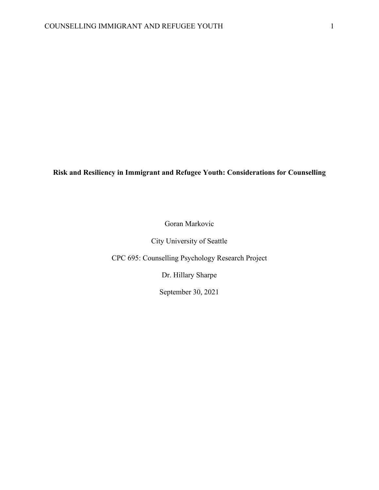**Risk and Resiliency in Immigrant and Refugee Youth: Considerations for Counselling**

Goran Markovic

City University of Seattle

CPC 695: Counselling Psychology Research Project

Dr. Hillary Sharpe

September 30, 2021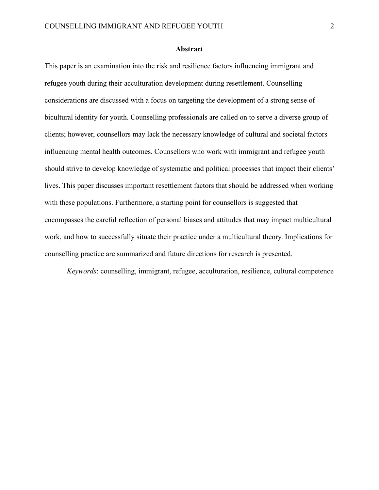### **Abstract**

This paper is an examination into the risk and resilience factors influencing immigrant and refugee youth during their acculturation development during resettlement. Counselling considerations are discussed with a focus on targeting the development of a strong sense of bicultural identity for youth. Counselling professionals are called on to serve a diverse group of clients; however, counsellors may lack the necessary knowledge of cultural and societal factors influencing mental health outcomes. Counsellors who work with immigrant and refugee youth should strive to develop knowledge of systematic and political processes that impact their clients' lives. This paper discusses important resettlement factors that should be addressed when working with these populations. Furthermore, a starting point for counsellors is suggested that encompasses the careful reflection of personal biases and attitudes that may impact multicultural work, and how to successfully situate their practice under a multicultural theory. Implications for counselling practice are summarized and future directions for research is presented.

*Keywords*: counselling, immigrant, refugee, acculturation, resilience, cultural competence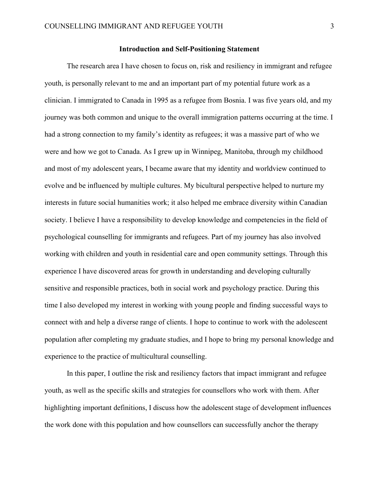### **Introduction and Self-Positioning Statement**

The research area I have chosen to focus on, risk and resiliency in immigrant and refugee youth, is personally relevant to me and an important part of my potential future work as a clinician. I immigrated to Canada in 1995 as a refugee from Bosnia. I was five years old, and my journey was both common and unique to the overall immigration patterns occurring at the time. I had a strong connection to my family's identity as refugees; it was a massive part of who we were and how we got to Canada. As I grew up in Winnipeg, Manitoba, through my childhood and most of my adolescent years, I became aware that my identity and worldview continued to evolve and be influenced by multiple cultures. My bicultural perspective helped to nurture my interests in future social humanities work; it also helped me embrace diversity within Canadian society. I believe I have a responsibility to develop knowledge and competencies in the field of psychological counselling for immigrants and refugees. Part of my journey has also involved working with children and youth in residential care and open community settings. Through this experience I have discovered areas for growth in understanding and developing culturally sensitive and responsible practices, both in social work and psychology practice. During this time I also developed my interest in working with young people and finding successful ways to connect with and help a diverse range of clients. I hope to continue to work with the adolescent population after completing my graduate studies, and I hope to bring my personal knowledge and experience to the practice of multicultural counselling.

In this paper, I outline the risk and resiliency factors that impact immigrant and refugee youth, as well as the specific skills and strategies for counsellors who work with them. After highlighting important definitions, I discuss how the adolescent stage of development influences the work done with this population and how counsellors can successfully anchor the therapy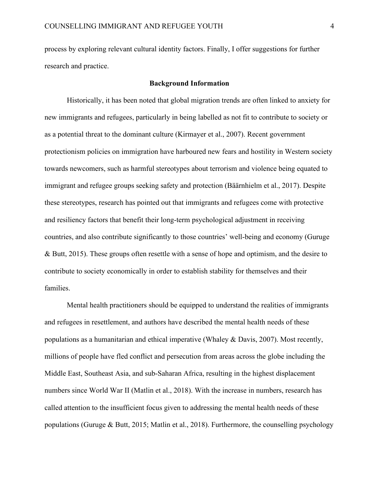process by exploring relevant cultural identity factors. Finally, I offer suggestions for further research and practice.

### **Background Information**

Historically, it has been noted that global migration trends are often linked to anxiety for new immigrants and refugees, particularly in being labelled as not fit to contribute to society or as a potential threat to the dominant culture (Kirmayer et al., 2007). Recent government protectionism policies on immigration have harboured new fears and hostility in Western society towards newcomers, such as harmful stereotypes about terrorism and violence being equated to immigrant and refugee groups seeking safety and protection (Bäärnhielm et al., 2017). Despite these stereotypes, research has pointed out that immigrants and refugees come with protective and resiliency factors that benefit their long-term psychological adjustment in receiving countries, and also contribute significantly to those countries' well-being and economy (Guruge & Butt, 2015). These groups often resettle with a sense of hope and optimism, and the desire to contribute to society economically in order to establish stability for themselves and their families.

Mental health practitioners should be equipped to understand the realities of immigrants and refugees in resettlement, and authors have described the mental health needs of these populations as a humanitarian and ethical imperative (Whaley & Davis, 2007). Most recently, millions of people have fled conflict and persecution from areas across the globe including the Middle East, Southeast Asia, and sub-Saharan Africa, resulting in the highest displacement numbers since World War II (Matlin et al., 2018). With the increase in numbers, research has called attention to the insufficient focus given to addressing the mental health needs of these populations (Guruge & Butt, 2015; Matlin et al., 2018). Furthermore, the counselling psychology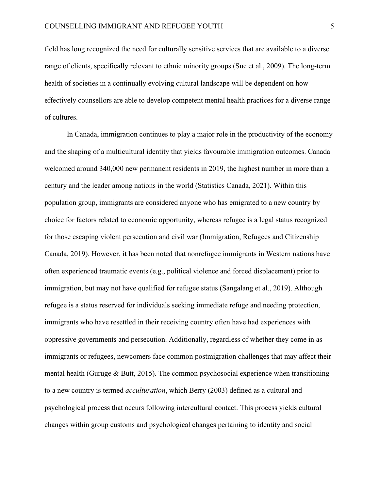field has long recognized the need for culturally sensitive services that are available to a diverse range of clients, specifically relevant to ethnic minority groups (Sue et al., 2009). The long-term health of societies in a continually evolving cultural landscape will be dependent on how effectively counsellors are able to develop competent mental health practices for a diverse range of cultures.

In Canada, immigration continues to play a major role in the productivity of the economy and the shaping of a multicultural identity that yields favourable immigration outcomes. Canada welcomed around 340,000 new permanent residents in 2019, the highest number in more than a century and the leader among nations in the world (Statistics Canada, 2021). Within this population group, immigrants are considered anyone who has emigrated to a new country by choice for factors related to economic opportunity, whereas refugee is a legal status recognized for those escaping violent persecution and civil war (Immigration, Refugees and Citizenship Canada, 2019). However, it has been noted that nonrefugee immigrants in Western nations have often experienced traumatic events (e.g., political violence and forced displacement) prior to immigration, but may not have qualified for refugee status (Sangalang et al., 2019). Although refugee is a status reserved for individuals seeking immediate refuge and needing protection, immigrants who have resettled in their receiving country often have had experiences with oppressive governments and persecution. Additionally, regardless of whether they come in as immigrants or refugees, newcomers face common postmigration challenges that may affect their mental health (Guruge & Butt, 2015). The common psychosocial experience when transitioning to a new country is termed *acculturation*, which Berry (2003) defined as a cultural and psychological process that occurs following intercultural contact. This process yields cultural changes within group customs and psychological changes pertaining to identity and social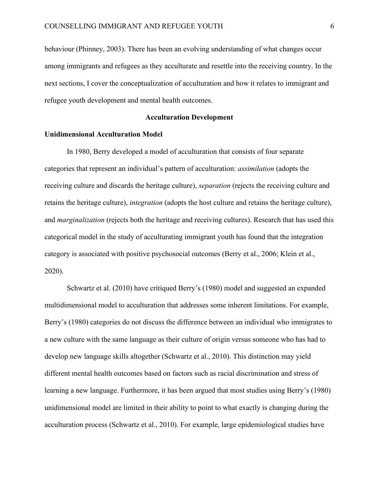behaviour (Phinney, 2003). There has been an evolving understanding of what changes occur among immigrants and refugees as they acculturate and resettle into the receiving country. In the next sections, I cover the conceptualization of acculturation and how it relates to immigrant and refugee youth development and mental health outcomes.

### **Acculturation Development**

### **Unidimensional Acculturation Model**

In 1980, Berry developed a model of acculturation that consists of four separate categories that represent an individual's pattern of acculturation: *assimilation* (adopts the receiving culture and discards the heritage culture), *separation* (rejects the receiving culture and retains the heritage culture), *integration* (adopts the host culture and retains the heritage culture), and *marginalization* (rejects both the heritage and receiving cultures). Research that has used this categorical model in the study of acculturating immigrant youth has found that the integration category is associated with positive psychosocial outcomes (Berry et al., 2006; Klein et al., 2020).

Schwartz et al. (2010) have critiqued Berry's (1980) model and suggested an expanded multidimensional model to acculturation that addresses some inherent limitations. For example, Berry's (1980) categories do not discuss the difference between an individual who immigrates to a new culture with the same language as their culture of origin versus someone who has had to develop new language skills altogether (Schwartz et al., 2010). This distinction may yield different mental health outcomes based on factors such as racial discrimination and stress of learning a new language. Furthermore, it has been argued that most studies using Berry's (1980) unidimensional model are limited in their ability to point to what exactly is changing during the acculturation process (Schwartz et al., 2010). For example, large epidemiological studies have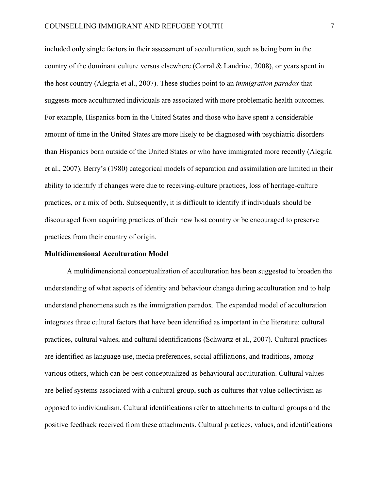included only single factors in their assessment of acculturation, such as being born in the country of the dominant culture versus elsewhere (Corral & Landrine, 2008), or years spent in the host country (Alegría et al., 2007). These studies point to an *immigration paradox* that suggests more acculturated individuals are associated with more problematic health outcomes. For example, Hispanics born in the United States and those who have spent a considerable amount of time in the United States are more likely to be diagnosed with psychiatric disorders than Hispanics born outside of the United States or who have immigrated more recently (Alegría et al., 2007). Berry's (1980) categorical models of separation and assimilation are limited in their ability to identify if changes were due to receiving-culture practices, loss of heritage-culture practices, or a mix of both. Subsequently, it is difficult to identify if individuals should be discouraged from acquiring practices of their new host country or be encouraged to preserve practices from their country of origin.

#### **Multidimensional Acculturation Model**

A multidimensional conceptualization of acculturation has been suggested to broaden the understanding of what aspects of identity and behaviour change during acculturation and to help understand phenomena such as the immigration paradox. The expanded model of acculturation integrates three cultural factors that have been identified as important in the literature: cultural practices, cultural values, and cultural identifications (Schwartz et al., 2007). Cultural practices are identified as language use, media preferences, social affiliations, and traditions, among various others, which can be best conceptualized as behavioural acculturation. Cultural values are belief systems associated with a cultural group, such as cultures that value collectivism as opposed to individualism. Cultural identifications refer to attachments to cultural groups and the positive feedback received from these attachments. Cultural practices, values, and identifications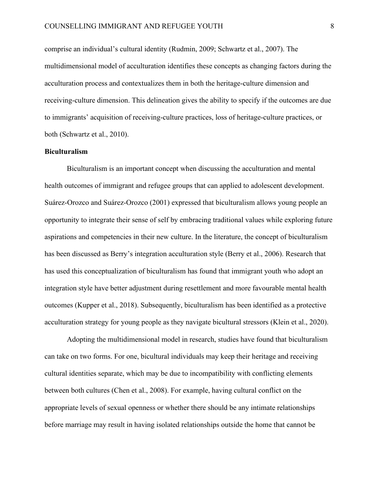comprise an individual's cultural identity (Rudmin, 2009; Schwartz et al., 2007). The multidimensional model of acculturation identifies these concepts as changing factors during the acculturation process and contextualizes them in both the heritage-culture dimension and receiving-culture dimension. This delineation gives the ability to specify if the outcomes are due to immigrants' acquisition of receiving-culture practices, loss of heritage-culture practices, or both (Schwartz et al., 2010).

# **Biculturalism**

Biculturalism is an important concept when discussing the acculturation and mental health outcomes of immigrant and refugee groups that can applied to adolescent development. Suárez-Orozco and Suárez-Orozco (2001) expressed that biculturalism allows young people an opportunity to integrate their sense of self by embracing traditional values while exploring future aspirations and competencies in their new culture. In the literature, the concept of biculturalism has been discussed as Berry's integration acculturation style (Berry et al., 2006). Research that has used this conceptualization of biculturalism has found that immigrant youth who adopt an integration style have better adjustment during resettlement and more favourable mental health outcomes (Kupper et al., 2018). Subsequently, biculturalism has been identified as a protective acculturation strategy for young people as they navigate bicultural stressors (Klein et al., 2020).

Adopting the multidimensional model in research, studies have found that biculturalism can take on two forms. For one, bicultural individuals may keep their heritage and receiving cultural identities separate, which may be due to incompatibility with conflicting elements between both cultures (Chen et al., 2008). For example, having cultural conflict on the appropriate levels of sexual openness or whether there should be any intimate relationships before marriage may result in having isolated relationships outside the home that cannot be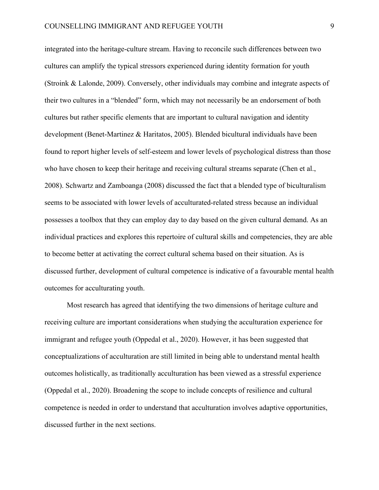integrated into the heritage-culture stream. Having to reconcile such differences between two cultures can amplify the typical stressors experienced during identity formation for youth (Stroink & Lalonde, 2009). Conversely, other individuals may combine and integrate aspects of their two cultures in a "blended" form, which may not necessarily be an endorsement of both cultures but rather specific elements that are important to cultural navigation and identity development (Benet-Martinez & Haritatos, 2005). Blended bicultural individuals have been found to report higher levels of self-esteem and lower levels of psychological distress than those who have chosen to keep their heritage and receiving cultural streams separate (Chen et al., 2008). Schwartz and Zamboanga (2008) discussed the fact that a blended type of biculturalism seems to be associated with lower levels of acculturated-related stress because an individual possesses a toolbox that they can employ day to day based on the given cultural demand. As an individual practices and explores this repertoire of cultural skills and competencies, they are able to become better at activating the correct cultural schema based on their situation. As is discussed further, development of cultural competence is indicative of a favourable mental health outcomes for acculturating youth.

Most research has agreed that identifying the two dimensions of heritage culture and receiving culture are important considerations when studying the acculturation experience for immigrant and refugee youth (Oppedal et al., 2020). However, it has been suggested that conceptualizations of acculturation are still limited in being able to understand mental health outcomes holistically, as traditionally acculturation has been viewed as a stressful experience (Oppedal et al., 2020). Broadening the scope to include concepts of resilience and cultural competence is needed in order to understand that acculturation involves adaptive opportunities, discussed further in the next sections.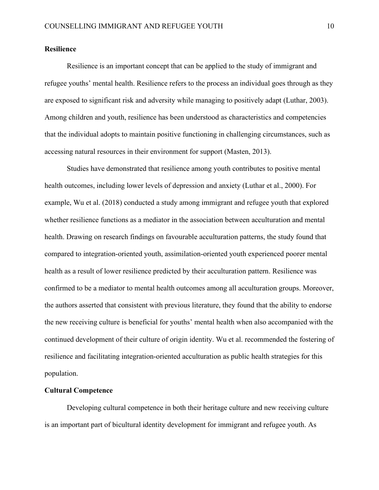## **Resilience**

Resilience is an important concept that can be applied to the study of immigrant and refugee youths' mental health. Resilience refers to the process an individual goes through as they are exposed to significant risk and adversity while managing to positively adapt (Luthar, 2003). Among children and youth, resilience has been understood as characteristics and competencies that the individual adopts to maintain positive functioning in challenging circumstances, such as accessing natural resources in their environment for support (Masten, 2013).

Studies have demonstrated that resilience among youth contributes to positive mental health outcomes, including lower levels of depression and anxiety (Luthar et al., 2000). For example, Wu et al. (2018) conducted a study among immigrant and refugee youth that explored whether resilience functions as a mediator in the association between acculturation and mental health. Drawing on research findings on favourable acculturation patterns, the study found that compared to integration-oriented youth, assimilation-oriented youth experienced poorer mental health as a result of lower resilience predicted by their acculturation pattern. Resilience was confirmed to be a mediator to mental health outcomes among all acculturation groups. Moreover, the authors asserted that consistent with previous literature, they found that the ability to endorse the new receiving culture is beneficial for youths' mental health when also accompanied with the continued development of their culture of origin identity. Wu et al. recommended the fostering of resilience and facilitating integration-oriented acculturation as public health strategies for this population.

## **Cultural Competence**

Developing cultural competence in both their heritage culture and new receiving culture is an important part of bicultural identity development for immigrant and refugee youth. As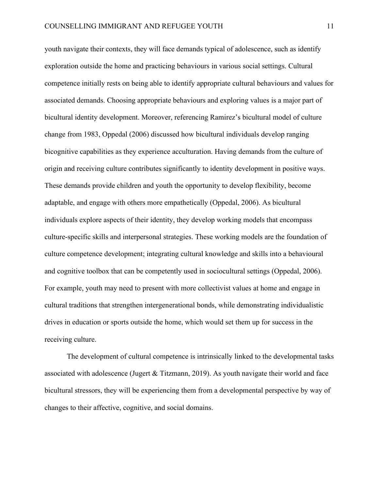youth navigate their contexts, they will face demands typical of adolescence, such as identify exploration outside the home and practicing behaviours in various social settings. Cultural competence initially rests on being able to identify appropriate cultural behaviours and values for associated demands. Choosing appropriate behaviours and exploring values is a major part of bicultural identity development. Moreover, referencing Ramirez's bicultural model of culture change from 1983, Oppedal (2006) discussed how bicultural individuals develop ranging bicognitive capabilities as they experience acculturation. Having demands from the culture of origin and receiving culture contributes significantly to identity development in positive ways. These demands provide children and youth the opportunity to develop flexibility, become adaptable, and engage with others more empathetically (Oppedal, 2006). As bicultural individuals explore aspects of their identity, they develop working models that encompass culture-specific skills and interpersonal strategies. These working models are the foundation of culture competence development; integrating cultural knowledge and skills into a behavioural and cognitive toolbox that can be competently used in sociocultural settings (Oppedal, 2006). For example, youth may need to present with more collectivist values at home and engage in cultural traditions that strengthen intergenerational bonds, while demonstrating individualistic drives in education or sports outside the home, which would set them up for success in the receiving culture.

The development of cultural competence is intrinsically linked to the developmental tasks associated with adolescence (Jugert & Titzmann, 2019). As youth navigate their world and face bicultural stressors, they will be experiencing them from a developmental perspective by way of changes to their affective, cognitive, and social domains.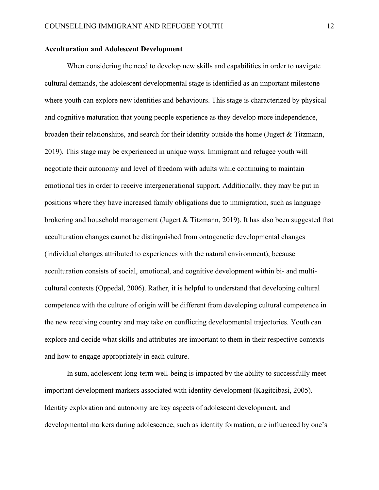## **Acculturation and Adolescent Development**

When considering the need to develop new skills and capabilities in order to navigate cultural demands, the adolescent developmental stage is identified as an important milestone where youth can explore new identities and behaviours. This stage is characterized by physical and cognitive maturation that young people experience as they develop more independence, broaden their relationships, and search for their identity outside the home (Jugert & Titzmann, 2019). This stage may be experienced in unique ways. Immigrant and refugee youth will negotiate their autonomy and level of freedom with adults while continuing to maintain emotional ties in order to receive intergenerational support. Additionally, they may be put in positions where they have increased family obligations due to immigration, such as language brokering and household management (Jugert & Titzmann, 2019). It has also been suggested that acculturation changes cannot be distinguished from ontogenetic developmental changes (individual changes attributed to experiences with the natural environment), because acculturation consists of social, emotional, and cognitive development within bi- and multicultural contexts (Oppedal, 2006). Rather, it is helpful to understand that developing cultural competence with the culture of origin will be different from developing cultural competence in the new receiving country and may take on conflicting developmental trajectories. Youth can explore and decide what skills and attributes are important to them in their respective contexts and how to engage appropriately in each culture.

In sum, adolescent long-term well-being is impacted by the ability to successfully meet important development markers associated with identity development (Kagitcibasi, 2005). Identity exploration and autonomy are key aspects of adolescent development, and developmental markers during adolescence, such as identity formation, are influenced by one's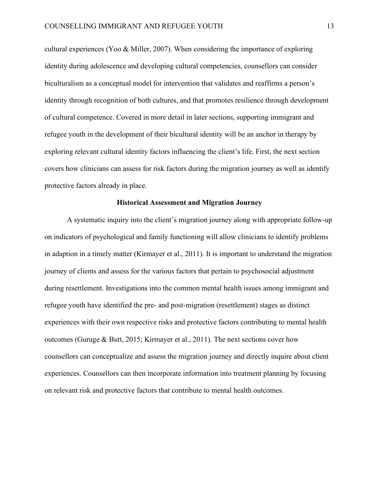cultural experiences (Yoo & Miller, 2007). When considering the importance of exploring identity during adolescence and developing cultural competencies, counsellors can consider biculturalism as a conceptual model for intervention that validates and reaffirms a person's identity through recognition of both cultures, and that promotes resilience through development of cultural competence. Covered in more detail in later sections, supporting immigrant and refugee youth in the development of their bicultural identity will be an anchor in therapy by exploring relevant cultural identity factors influencing the client's life. First, the next section covers how clinicians can assess for risk factors during the migration journey as well as identify protective factors already in place.

#### **Historical Assessment and Migration Journey**

A systematic inquiry into the client's migration journey along with appropriate follow-up on indicators of psychological and family functioning will allow clinicians to identify problems in adaption in a timely matter (Kirmayer et al., 2011). It is important to understand the migration journey of clients and assess for the various factors that pertain to psychosocial adjustment during resettlement. Investigations into the common mental health issues among immigrant and refugee youth have identified the pre- and post-migration (resettlement) stages as distinct experiences with their own respective risks and protective factors contributing to mental health outcomes (Guruge & Butt, 2015; Kirmayer et al., 2011). The next sections cover how counsellors can conceptualize and assess the migration journey and directly inquire about client experiences. Counsellors can then incorporate information into treatment planning by focusing on relevant risk and protective factors that contribute to mental health outcomes.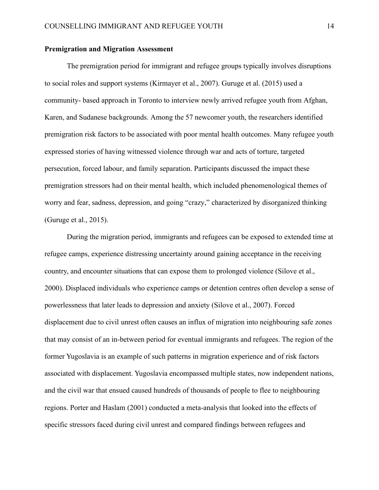## **Premigration and Migration Assessment**

The premigration period for immigrant and refugee groups typically involves disruptions to social roles and support systems (Kirmayer et al., 2007). Guruge et al. (2015) used a community- based approach in Toronto to interview newly arrived refugee youth from Afghan, Karen, and Sudanese backgrounds. Among the 57 newcomer youth, the researchers identified premigration risk factors to be associated with poor mental health outcomes. Many refugee youth expressed stories of having witnessed violence through war and acts of torture, targeted persecution, forced labour, and family separation. Participants discussed the impact these premigration stressors had on their mental health, which included phenomenological themes of worry and fear, sadness, depression, and going "crazy," characterized by disorganized thinking (Guruge et al., 2015).

During the migration period, immigrants and refugees can be exposed to extended time at refugee camps, experience distressing uncertainty around gaining acceptance in the receiving country, and encounter situations that can expose them to prolonged violence (Silove et al., 2000). Displaced individuals who experience camps or detention centres often develop a sense of powerlessness that later leads to depression and anxiety (Silove et al., 2007). Forced displacement due to civil unrest often causes an influx of migration into neighbouring safe zones that may consist of an in-between period for eventual immigrants and refugees. The region of the former Yugoslavia is an example of such patterns in migration experience and of risk factors associated with displacement. Yugoslavia encompassed multiple states, now independent nations, and the civil war that ensued caused hundreds of thousands of people to flee to neighbouring regions. Porter and Haslam (2001) conducted a meta-analysis that looked into the effects of specific stressors faced during civil unrest and compared findings between refugees and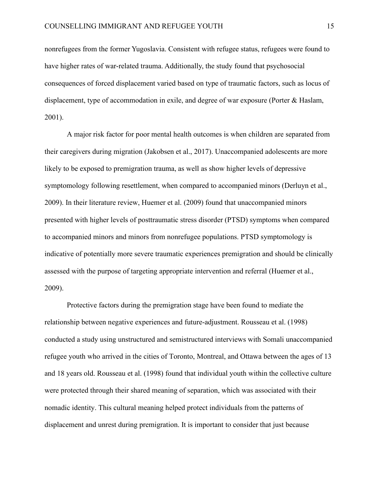nonrefugees from the former Yugoslavia. Consistent with refugee status, refugees were found to have higher rates of war-related trauma. Additionally, the study found that psychosocial consequences of forced displacement varied based on type of traumatic factors, such as locus of displacement, type of accommodation in exile, and degree of war exposure (Porter & Haslam, 2001).

A major risk factor for poor mental health outcomes is when children are separated from their caregivers during migration (Jakobsen et al., 2017). Unaccompanied adolescents are more likely to be exposed to premigration trauma, as well as show higher levels of depressive symptomology following resettlement, when compared to accompanied minors (Derluyn et al., 2009). In their literature review, Huemer et al. (2009) found that unaccompanied minors presented with higher levels of posttraumatic stress disorder (PTSD) symptoms when compared to accompanied minors and minors from nonrefugee populations. PTSD symptomology is indicative of potentially more severe traumatic experiences premigration and should be clinically assessed with the purpose of targeting appropriate intervention and referral (Huemer et al., 2009).

Protective factors during the premigration stage have been found to mediate the relationship between negative experiences and future-adjustment. Rousseau et al. (1998) conducted a study using unstructured and semistructured interviews with Somali unaccompanied refugee youth who arrived in the cities of Toronto, Montreal, and Ottawa between the ages of 13 and 18 years old. Rousseau et al. (1998) found that individual youth within the collective culture were protected through their shared meaning of separation, which was associated with their nomadic identity. This cultural meaning helped protect individuals from the patterns of displacement and unrest during premigration. It is important to consider that just because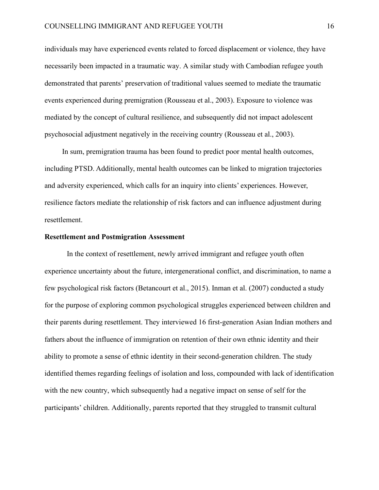individuals may have experienced events related to forced displacement or violence, they have necessarily been impacted in a traumatic way. A similar study with Cambodian refugee youth demonstrated that parents' preservation of traditional values seemed to mediate the traumatic events experienced during premigration (Rousseau et al., 2003). Exposure to violence was mediated by the concept of cultural resilience, and subsequently did not impact adolescent psychosocial adjustment negatively in the receiving country (Rousseau et al., 2003).

In sum, premigration trauma has been found to predict poor mental health outcomes, including PTSD. Additionally, mental health outcomes can be linked to migration trajectories and adversity experienced, which calls for an inquiry into clients' experiences. However, resilience factors mediate the relationship of risk factors and can influence adjustment during resettlement.

### **Resettlement and Postmigration Assessment**

In the context of resettlement, newly arrived immigrant and refugee youth often experience uncertainty about the future, intergenerational conflict, and discrimination, to name a few psychological risk factors (Betancourt et al., 2015). Inman et al. (2007) conducted a study for the purpose of exploring common psychological struggles experienced between children and their parents during resettlement. They interviewed 16 first-generation Asian Indian mothers and fathers about the influence of immigration on retention of their own ethnic identity and their ability to promote a sense of ethnic identity in their second-generation children. The study identified themes regarding feelings of isolation and loss, compounded with lack of identification with the new country, which subsequently had a negative impact on sense of self for the participants' children. Additionally, parents reported that they struggled to transmit cultural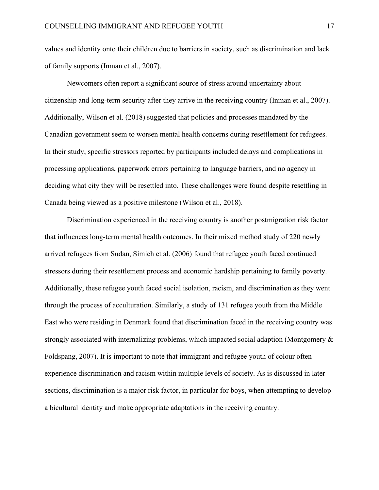values and identity onto their children due to barriers in society, such as discrimination and lack of family supports (Inman et al., 2007).

Newcomers often report a significant source of stress around uncertainty about citizenship and long-term security after they arrive in the receiving country (Inman et al., 2007). Additionally, Wilson et al. (2018) suggested that policies and processes mandated by the Canadian government seem to worsen mental health concerns during resettlement for refugees. In their study, specific stressors reported by participants included delays and complications in processing applications, paperwork errors pertaining to language barriers, and no agency in deciding what city they will be resettled into. These challenges were found despite resettling in Canada being viewed as a positive milestone (Wilson et al., 2018).

Discrimination experienced in the receiving country is another postmigration risk factor that influences long-term mental health outcomes. In their mixed method study of 220 newly arrived refugees from Sudan, Simich et al. (2006) found that refugee youth faced continued stressors during their resettlement process and economic hardship pertaining to family poverty. Additionally, these refugee youth faced social isolation, racism, and discrimination as they went through the process of acculturation. Similarly, a study of 131 refugee youth from the Middle East who were residing in Denmark found that discrimination faced in the receiving country was strongly associated with internalizing problems, which impacted social adaption (Montgomery & Foldspang, 2007). It is important to note that immigrant and refugee youth of colour often experience discrimination and racism within multiple levels of society. As is discussed in later sections, discrimination is a major risk factor, in particular for boys, when attempting to develop a bicultural identity and make appropriate adaptations in the receiving country.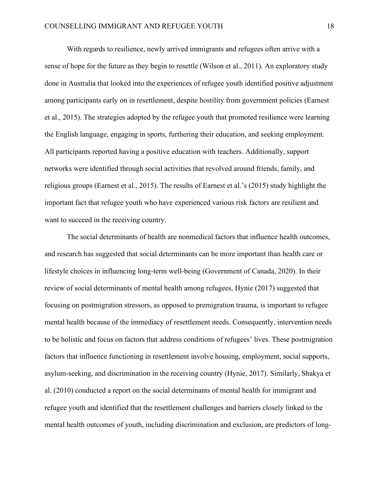With regards to resilience, newly arrived immigrants and refugees often arrive with a sense of hope for the future as they begin to resettle (Wilson et al., 2011). An exploratory study done in Australia that looked into the experiences of refugee youth identified positive adjustment among participants early on in resettlement, despite hostility from government policies (Earnest et al., 2015). The strategies adopted by the refugee youth that promoted resilience were learning the English language, engaging in sports, furthering their education, and seeking employment. All participants reported having a positive education with teachers. Additionally, support networks were identified through social activities that revolved around friends, family, and religious groups (Earnest et al., 2015). The results of Earnest et al.'s (2015) study highlight the important fact that refugee youth who have experienced various risk factors are resilient and want to succeed in the receiving country.

The social determinants of health are nonmedical factors that influence health outcomes, and research has suggested that social determinants can be more important than health care or lifestyle choices in influencing long-term well-being (Government of Canada, 2020). In their review of social determinants of mental health among refugees, Hynie (2017) suggested that focusing on postmigration stressors, as opposed to premigration trauma, is important to refugee mental health because of the immediacy of resettlement needs. Consequently, intervention needs to be holistic and focus on factors that address conditions of refugees' lives. These postmigration factors that influence functioning in resettlement involve housing, employment, social supports, asylum-seeking, and discrimination in the receiving country (Hynie, 2017). Similarly, Shakya et al. (2010) conducted a report on the social determinants of mental health for immigrant and refugee youth and identified that the resettlement challenges and barriers closely linked to the mental health outcomes of youth, including discrimination and exclusion, are predictors of long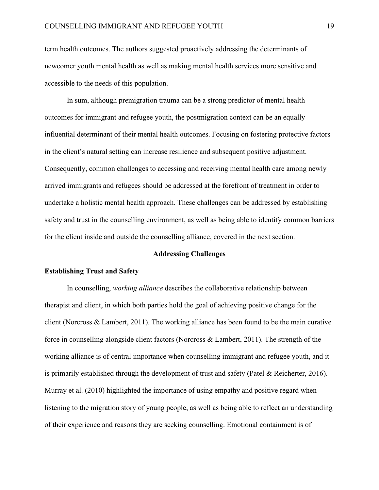term health outcomes. The authors suggested proactively addressing the determinants of newcomer youth mental health as well as making mental health services more sensitive and accessible to the needs of this population.

In sum, although premigration trauma can be a strong predictor of mental health outcomes for immigrant and refugee youth, the postmigration context can be an equally influential determinant of their mental health outcomes. Focusing on fostering protective factors in the client's natural setting can increase resilience and subsequent positive adjustment. Consequently, common challenges to accessing and receiving mental health care among newly arrived immigrants and refugees should be addressed at the forefront of treatment in order to undertake a holistic mental health approach. These challenges can be addressed by establishing safety and trust in the counselling environment, as well as being able to identify common barriers for the client inside and outside the counselling alliance, covered in the next section.

## **Addressing Challenges**

## **Establishing Trust and Safety**

In counselling, *working alliance* describes the collaborative relationship between therapist and client, in which both parties hold the goal of achieving positive change for the client (Norcross  $\&$  Lambert, 2011). The working alliance has been found to be the main curative force in counselling alongside client factors (Norcross & Lambert, 2011). The strength of the working alliance is of central importance when counselling immigrant and refugee youth, and it is primarily established through the development of trust and safety (Patel & Reicherter, 2016). Murray et al. (2010) highlighted the importance of using empathy and positive regard when listening to the migration story of young people, as well as being able to reflect an understanding of their experience and reasons they are seeking counselling. Emotional containment is of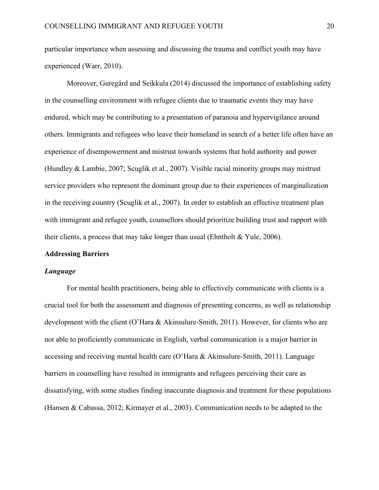particular importance when assessing and discussing the trauma and conflict youth may have experienced (Warr, 2010).

Moreover, Guregård and Seikkula (2014) discussed the importance of establishing safety in the counselling environment with refugee clients due to traumatic events they may have endured, which may be contributing to a presentation of paranoia and hypervigilance around others. Immigrants and refugees who leave their homeland in search of a better life often have an experience of disempowerment and mistrust towards systems that hold authority and power (Hundley & Lambie, 2007; Scuglik et al., 2007). Visible racial minority groups may mistrust service providers who represent the dominant group due to their experiences of marginalization in the receiving country (Scuglik et al., 2007). In order to establish an effective treatment plan with immigrant and refugee youth, counsellors should prioritize building trust and rapport with their clients, a process that may take longer than usual (Ehntholt  $&$  Yule, 2006).

### **Addressing Barriers**

#### *Language*

For mental health practitioners, being able to effectively communicate with clients is a crucial tool for both the assessment and diagnosis of presenting concerns, as well as relationship development with the client (O'Hara & Akinsulure-Smith, 2011). However, for clients who are not able to proficiently communicate in English, verbal communication is a major barrier in accessing and receiving mental health care (O'Hara & Akinsulure-Smith, 2011). Language barriers in counselling have resulted in immigrants and refugees perceiving their care as dissatisfying, with some studies finding inaccurate diagnosis and treatment for these populations (Hansen & Cabassa, 2012; Kirmayer et al., 2003). Communication needs to be adapted to the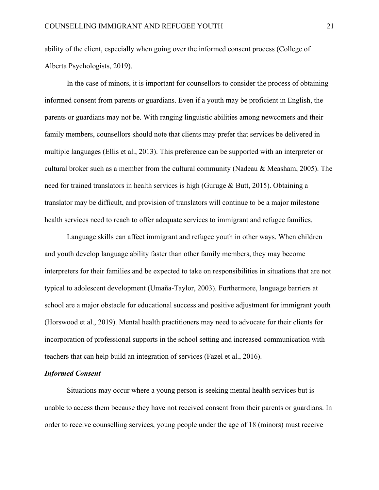ability of the client, especially when going over the informed consent process (College of Alberta Psychologists, 2019).

In the case of minors, it is important for counsellors to consider the process of obtaining informed consent from parents or guardians. Even if a youth may be proficient in English, the parents or guardians may not be. With ranging linguistic abilities among newcomers and their family members, counsellors should note that clients may prefer that services be delivered in multiple languages (Ellis et al., 2013). This preference can be supported with an interpreter or cultural broker such as a member from the cultural community (Nadeau & Measham, 2005). The need for trained translators in health services is high (Guruge & Butt, 2015). Obtaining a translator may be difficult, and provision of translators will continue to be a major milestone health services need to reach to offer adequate services to immigrant and refugee families.

Language skills can affect immigrant and refugee youth in other ways. When children and youth develop language ability faster than other family members, they may become interpreters for their families and be expected to take on responsibilities in situations that are not typical to adolescent development (Umaña-Taylor, 2003). Furthermore, language barriers at school are a major obstacle for educational success and positive adjustment for immigrant youth (Horswood et al., 2019). Mental health practitioners may need to advocate for their clients for incorporation of professional supports in the school setting and increased communication with teachers that can help build an integration of services (Fazel et al., 2016).

## *Informed Consent*

Situations may occur where a young person is seeking mental health services but is unable to access them because they have not received consent from their parents or guardians. In order to receive counselling services, young people under the age of 18 (minors) must receive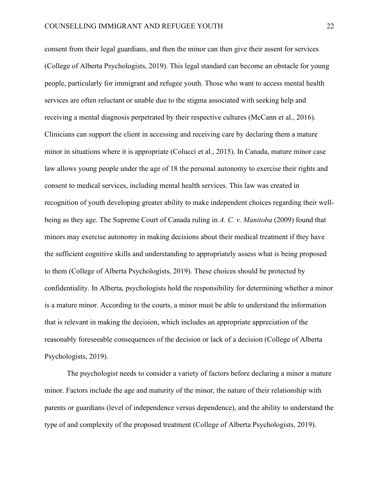consent from their legal guardians, and then the minor can then give their assent for services (College of Alberta Psychologists, 2019). This legal standard can become an obstacle for young people, particularly for immigrant and refugee youth. Those who want to access mental health services are often reluctant or unable due to the stigma associated with seeking help and receiving a mental diagnosis perpetrated by their respective cultures (McCann et al., 2016). Clinicians can support the client in accessing and receiving care by declaring them a mature minor in situations where it is appropriate (Colucci et al., 2015). In Canada, mature minor case law allows young people under the age of 18 the personal autonomy to exercise their rights and consent to medical services, including mental health services. This law was created in recognition of youth developing greater ability to make independent choices regarding their wellbeing as they age. The Supreme Court of Canada ruling in *A. C. v. Manitoba* (2009) found that minors may exercise autonomy in making decisions about their medical treatment if they have the sufficient cognitive skills and understanding to appropriately assess what is being proposed to them (College of Alberta Psychologists, 2019). These choices should be protected by confidentiality. In Alberta, psychologists hold the responsibility for determining whether a minor is a mature minor. According to the courts, a minor must be able to understand the information that is relevant in making the decision, which includes an appropriate appreciation of the reasonably foreseeable consequences of the decision or lack of a decision (College of Alberta Psychologists, 2019).

The psychologist needs to consider a variety of factors before declaring a minor a mature minor. Factors include the age and maturity of the minor, the nature of their relationship with parents or guardians (level of independence versus dependence), and the ability to understand the type of and complexity of the proposed treatment (College of Alberta Psychologists, 2019).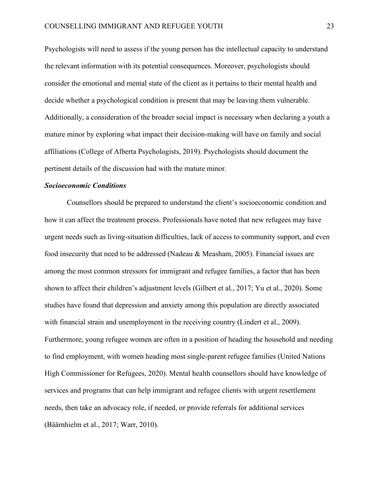Psychologists will need to assess if the young person has the intellectual capacity to understand the relevant information with its potential consequences. Moreover, psychologists should consider the emotional and mental state of the client as it pertains to their mental health and decide whether a psychological condition is present that may be leaving them vulnerable. Additionally, a consideration of the broader social impact is necessary when declaring a youth a mature minor by exploring what impact their decision-making will have on family and social affiliations (College of Alberta Psychologists, 2019). Psychologists should document the pertinent details of the discussion had with the mature minor.

#### *Socioeconomic Conditions*

Counsellors should be prepared to understand the client's socioeconomic condition and how it can affect the treatment process. Professionals have noted that new refugees may have urgent needs such as living-situation difficulties, lack of access to community support, and even food insecurity that need to be addressed (Nadeau & Measham, 2005). Financial issues are among the most common stressors for immigrant and refugee families, a factor that has been shown to affect their children's adjustment levels (Gilbert et al., 2017; Yu et al., 2020). Some studies have found that depression and anxiety among this population are directly associated with financial strain and unemployment in the receiving country (Lindert et al., 2009). Furthermore, young refugee women are often in a position of heading the household and needing to find employment, with women heading most single-parent refugee families (United Nations High Commissioner for Refugees, 2020). Mental health counsellors should have knowledge of services and programs that can help immigrant and refugee clients with urgent resettlement needs, then take an advocacy role, if needed, or provide referrals for additional services (Bäärnhielm et al., 2017; Warr, 2010).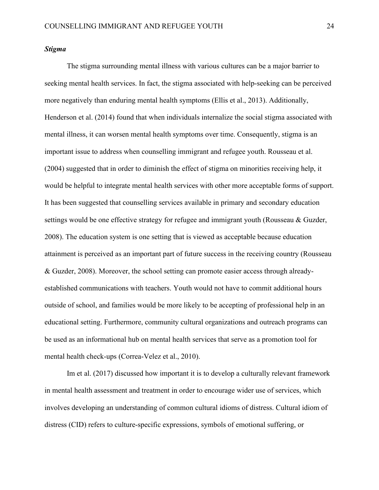## *Stigma*

The stigma surrounding mental illness with various cultures can be a major barrier to seeking mental health services. In fact, the stigma associated with help-seeking can be perceived more negatively than enduring mental health symptoms (Ellis et al., 2013). Additionally, Henderson et al. (2014) found that when individuals internalize the social stigma associated with mental illness, it can worsen mental health symptoms over time. Consequently, stigma is an important issue to address when counselling immigrant and refugee youth. Rousseau et al. (2004) suggested that in order to diminish the effect of stigma on minorities receiving help, it would be helpful to integrate mental health services with other more acceptable forms of support. It has been suggested that counselling services available in primary and secondary education settings would be one effective strategy for refugee and immigrant youth (Rousseau & Guzder, 2008). The education system is one setting that is viewed as acceptable because education attainment is perceived as an important part of future success in the receiving country (Rousseau & Guzder, 2008). Moreover, the school setting can promote easier access through alreadyestablished communications with teachers. Youth would not have to commit additional hours outside of school, and families would be more likely to be accepting of professional help in an educational setting. Furthermore, community cultural organizations and outreach programs can be used as an informational hub on mental health services that serve as a promotion tool for mental health check-ups (Correa-Velez et al., 2010).

Im et al. (2017) discussed how important it is to develop a culturally relevant framework in mental health assessment and treatment in order to encourage wider use of services, which involves developing an understanding of common cultural idioms of distress. Cultural idiom of distress (CID) refers to culture-specific expressions, symbols of emotional suffering, or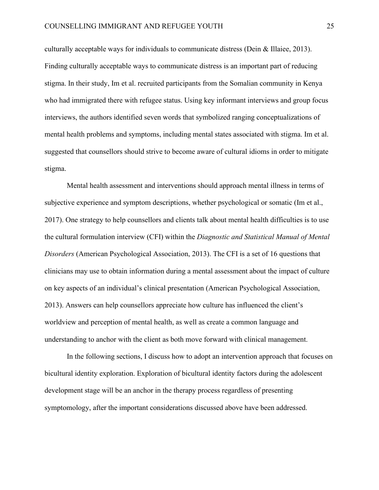culturally acceptable ways for individuals to communicate distress (Dein & Illaiee, 2013). Finding culturally acceptable ways to communicate distress is an important part of reducing stigma. In their study, Im et al. recruited participants from the Somalian community in Kenya who had immigrated there with refugee status. Using key informant interviews and group focus interviews, the authors identified seven words that symbolized ranging conceptualizations of mental health problems and symptoms, including mental states associated with stigma. Im et al. suggested that counsellors should strive to become aware of cultural idioms in order to mitigate stigma.

Mental health assessment and interventions should approach mental illness in terms of subjective experience and symptom descriptions, whether psychological or somatic (Im et al., 2017). One strategy to help counsellors and clients talk about mental health difficulties is to use the cultural formulation interview (CFI) within the *Diagnostic and Statistical Manual of Mental Disorders* (American Psychological Association, 2013). The CFI is a set of 16 questions that clinicians may use to obtain information during a mental assessment about the impact of culture on key aspects of an individual's clinical presentation (American Psychological Association, 2013). Answers can help counsellors appreciate how culture has influenced the client's worldview and perception of mental health, as well as create a common language and understanding to anchor with the client as both move forward with clinical management.

In the following sections, I discuss how to adopt an intervention approach that focuses on bicultural identity exploration. Exploration of bicultural identity factors during the adolescent development stage will be an anchor in the therapy process regardless of presenting symptomology, after the important considerations discussed above have been addressed.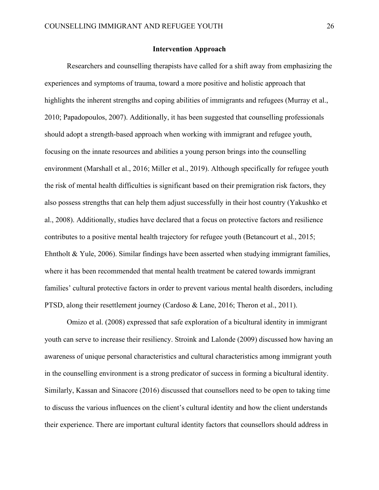## **Intervention Approach**

Researchers and counselling therapists have called for a shift away from emphasizing the experiences and symptoms of trauma, toward a more positive and holistic approach that highlights the inherent strengths and coping abilities of immigrants and refugees (Murray et al., 2010; Papadopoulos, 2007). Additionally, it has been suggested that counselling professionals should adopt a strength-based approach when working with immigrant and refugee youth, focusing on the innate resources and abilities a young person brings into the counselling environment (Marshall et al., 2016; Miller et al., 2019). Although specifically for refugee youth the risk of mental health difficulties is significant based on their premigration risk factors, they also possess strengths that can help them adjust successfully in their host country (Yakushko et al., 2008). Additionally, studies have declared that a focus on protective factors and resilience contributes to a positive mental health trajectory for refugee youth (Betancourt et al., 2015; Ehntholt & Yule, 2006). Similar findings have been asserted when studying immigrant families, where it has been recommended that mental health treatment be catered towards immigrant families' cultural protective factors in order to prevent various mental health disorders, including PTSD, along their resettlement journey (Cardoso & Lane, 2016; Theron et al., 2011).

Omizo et al. (2008) expressed that safe exploration of a bicultural identity in immigrant youth can serve to increase their resiliency. Stroink and Lalonde (2009) discussed how having an awareness of unique personal characteristics and cultural characteristics among immigrant youth in the counselling environment is a strong predicator of success in forming a bicultural identity. Similarly, Kassan and Sinacore (2016) discussed that counsellors need to be open to taking time to discuss the various influences on the client's cultural identity and how the client understands their experience. There are important cultural identity factors that counsellors should address in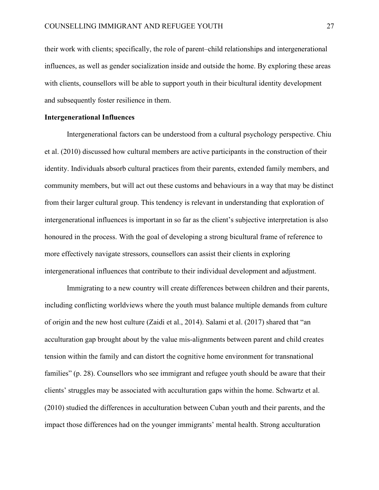their work with clients; specifically, the role of parent–child relationships and intergenerational influences, as well as gender socialization inside and outside the home. By exploring these areas with clients, counsellors will be able to support youth in their bicultural identity development and subsequently foster resilience in them.

## **Intergenerational Influences**

Intergenerational factors can be understood from a cultural psychology perspective. Chiu et al. (2010) discussed how cultural members are active participants in the construction of their identity. Individuals absorb cultural practices from their parents, extended family members, and community members, but will act out these customs and behaviours in a way that may be distinct from their larger cultural group. This tendency is relevant in understanding that exploration of intergenerational influences is important in so far as the client's subjective interpretation is also honoured in the process. With the goal of developing a strong bicultural frame of reference to more effectively navigate stressors, counsellors can assist their clients in exploring intergenerational influences that contribute to their individual development and adjustment.

Immigrating to a new country will create differences between children and their parents, including conflicting worldviews where the youth must balance multiple demands from culture of origin and the new host culture (Zaidi et al., 2014). Salami et al. (2017) shared that "an acculturation gap brought about by the value mis-alignments between parent and child creates tension within the family and can distort the cognitive home environment for transnational families" (p. 28). Counsellors who see immigrant and refugee youth should be aware that their clients' struggles may be associated with acculturation gaps within the home. Schwartz et al. (2010) studied the differences in acculturation between Cuban youth and their parents, and the impact those differences had on the younger immigrants' mental health. Strong acculturation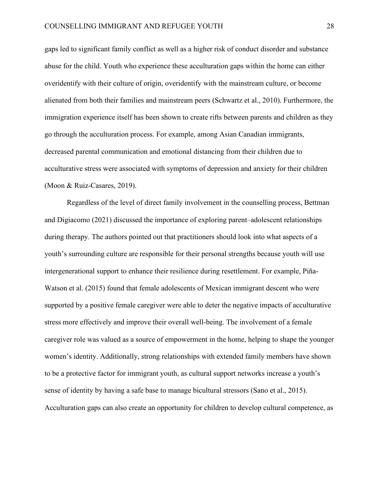gaps led to significant family conflict as well as a higher risk of conduct disorder and substance abuse for the child. Youth who experience these acculturation gaps within the home can either overidentify with their culture of origin, overidentify with the mainstream culture, or become alienated from both their families and mainstream peers (Schwartz et al., 2010). Furthermore, the immigration experience itself has been shown to create rifts between parents and children as they go through the acculturation process. For example, among Asian Canadian immigrants, decreased parental communication and emotional distancing from their children due to acculturative stress were associated with symptoms of depression and anxiety for their children (Moon & Ruiz-Casares, 2019).

Regardless of the level of direct family involvement in the counselling process, Bettman and Digiacomo (2021) discussed the importance of exploring parent–adolescent relationships during therapy. The authors pointed out that practitioners should look into what aspects of a youth's surrounding culture are responsible for their personal strengths because youth will use intergenerational support to enhance their resilience during resettlement. For example, Piña-Watson et al. (2015) found that female adolescents of Mexican immigrant descent who were supported by a positive female caregiver were able to deter the negative impacts of acculturative stress more effectively and improve their overall well-being. The involvement of a female caregiver role was valued as a source of empowerment in the home, helping to shape the younger women's identity. Additionally, strong relationships with extended family members have shown to be a protective factor for immigrant youth, as cultural support networks increase a youth's sense of identity by having a safe base to manage bicultural stressors (Sano et al., 2015). Acculturation gaps can also create an opportunity for children to develop cultural competence, as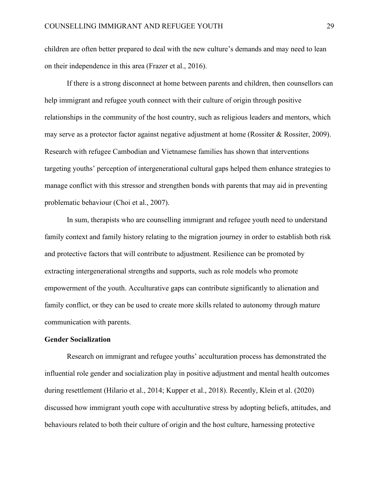children are often better prepared to deal with the new culture's demands and may need to lean on their independence in this area (Frazer et al., 2016).

If there is a strong disconnect at home between parents and children, then counsellors can help immigrant and refugee youth connect with their culture of origin through positive relationships in the community of the host country, such as religious leaders and mentors, which may serve as a protector factor against negative adjustment at home (Rossiter & Rossiter, 2009). Research with refugee Cambodian and Vietnamese families has shown that interventions targeting youths' perception of intergenerational cultural gaps helped them enhance strategies to manage conflict with this stressor and strengthen bonds with parents that may aid in preventing problematic behaviour (Choi et al., 2007).

In sum, therapists who are counselling immigrant and refugee youth need to understand family context and family history relating to the migration journey in order to establish both risk and protective factors that will contribute to adjustment. Resilience can be promoted by extracting intergenerational strengths and supports, such as role models who promote empowerment of the youth. Acculturative gaps can contribute significantly to alienation and family conflict, or they can be used to create more skills related to autonomy through mature communication with parents.

### **Gender Socialization**

Research on immigrant and refugee youths' acculturation process has demonstrated the influential role gender and socialization play in positive adjustment and mental health outcomes during resettlement (Hilario et al., 2014; Kupper et al., 2018). Recently, Klein et al. (2020) discussed how immigrant youth cope with acculturative stress by adopting beliefs, attitudes, and behaviours related to both their culture of origin and the host culture, harnessing protective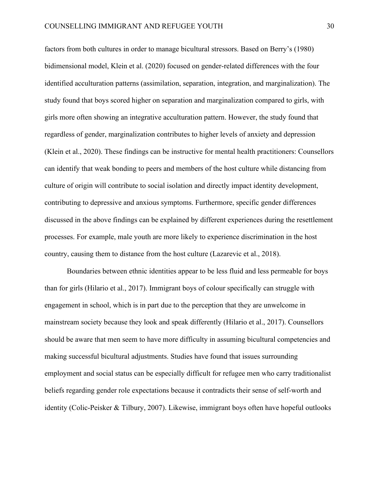factors from both cultures in order to manage bicultural stressors. Based on Berry's (1980) bidimensional model, Klein et al. (2020) focused on gender-related differences with the four identified acculturation patterns (assimilation, separation, integration, and marginalization). The study found that boys scored higher on separation and marginalization compared to girls, with girls more often showing an integrative acculturation pattern. However, the study found that regardless of gender, marginalization contributes to higher levels of anxiety and depression (Klein et al., 2020). These findings can be instructive for mental health practitioners: Counsellors can identify that weak bonding to peers and members of the host culture while distancing from culture of origin will contribute to social isolation and directly impact identity development, contributing to depressive and anxious symptoms. Furthermore, specific gender differences discussed in the above findings can be explained by different experiences during the resettlement processes. For example, male youth are more likely to experience discrimination in the host country, causing them to distance from the host culture (Lazarevic et al., 2018).

Boundaries between ethnic identities appear to be less fluid and less permeable for boys than for girls (Hilario et al., 2017). Immigrant boys of colour specifically can struggle with engagement in school, which is in part due to the perception that they are unwelcome in mainstream society because they look and speak differently (Hilario et al., 2017). Counsellors should be aware that men seem to have more difficulty in assuming bicultural competencies and making successful bicultural adjustments. Studies have found that issues surrounding employment and social status can be especially difficult for refugee men who carry traditionalist beliefs regarding gender role expectations because it contradicts their sense of self-worth and identity (Colic-Peisker & Tilbury, 2007). Likewise, immigrant boys often have hopeful outlooks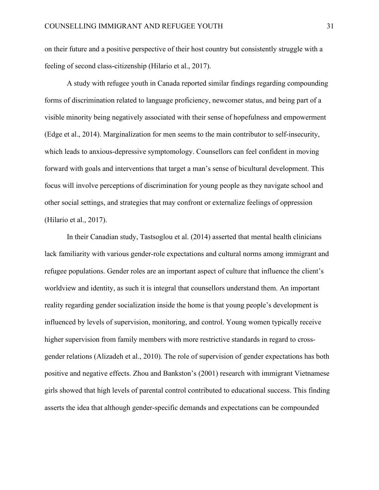on their future and a positive perspective of their host country but consistently struggle with a feeling of second class-citizenship (Hilario et al., 2017).

A study with refugee youth in Canada reported similar findings regarding compounding forms of discrimination related to language proficiency, newcomer status, and being part of a visible minority being negatively associated with their sense of hopefulness and empowerment (Edge et al., 2014). Marginalization for men seems to the main contributor to self-insecurity, which leads to anxious-depressive symptomology. Counsellors can feel confident in moving forward with goals and interventions that target a man's sense of bicultural development. This focus will involve perceptions of discrimination for young people as they navigate school and other social settings, and strategies that may confront or externalize feelings of oppression (Hilario et al., 2017).

In their Canadian study, Tastsoglou et al. (2014) asserted that mental health clinicians lack familiarity with various gender-role expectations and cultural norms among immigrant and refugee populations. Gender roles are an important aspect of culture that influence the client's worldview and identity, as such it is integral that counsellors understand them. An important reality regarding gender socialization inside the home is that young people's development is influenced by levels of supervision, monitoring, and control. Young women typically receive higher supervision from family members with more restrictive standards in regard to crossgender relations (Alizadeh et al., 2010). The role of supervision of gender expectations has both positive and negative effects. Zhou and Bankston's (2001) research with immigrant Vietnamese girls showed that high levels of parental control contributed to educational success. This finding asserts the idea that although gender-specific demands and expectations can be compounded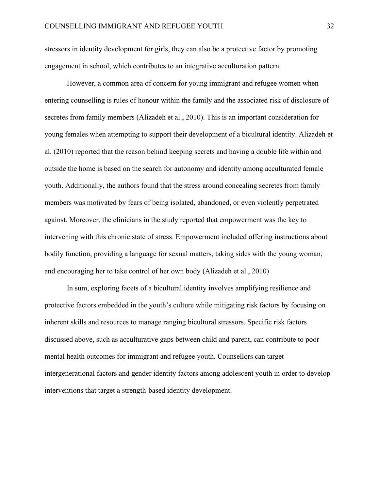stressors in identity development for girls, they can also be a protective factor by promoting engagement in school, which contributes to an integrative acculturation pattern.

However, a common area of concern for young immigrant and refugee women when entering counselling is rules of honour within the family and the associated risk of disclosure of secretes from family members (Alizadeh et al., 2010). This is an important consideration for young females when attempting to support their development of a bicultural identity. Alizadeh et al. (2010) reported that the reason behind keeping secrets and having a double life within and outside the home is based on the search for autonomy and identity among acculturated female youth. Additionally, the authors found that the stress around concealing secretes from family members was motivated by fears of being isolated, abandoned, or even violently perpetrated against. Moreover, the clinicians in the study reported that empowerment was the key to intervening with this chronic state of stress. Empowerment included offering instructions about bodily function, providing a language for sexual matters, taking sides with the young woman, and encouraging her to take control of her own body (Alizadeh et al., 2010)

In sum, exploring facets of a bicultural identity involves amplifying resilience and protective factors embedded in the youth's culture while mitigating risk factors by focusing on inherent skills and resources to manage ranging bicultural stressors. Specific risk factors discussed above, such as acculturative gaps between child and parent, can contribute to poor mental health outcomes for immigrant and refugee youth. Counsellors can target intergenerational factors and gender identity factors among adolescent youth in order to develop interventions that target a strength-based identity development.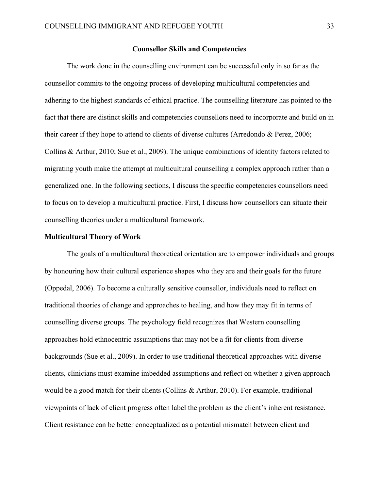### **Counsellor Skills and Competencies**

The work done in the counselling environment can be successful only in so far as the counsellor commits to the ongoing process of developing multicultural competencies and adhering to the highest standards of ethical practice. The counselling literature has pointed to the fact that there are distinct skills and competencies counsellors need to incorporate and build on in their career if they hope to attend to clients of diverse cultures (Arredondo & Perez, 2006; Collins & Arthur, 2010; Sue et al., 2009). The unique combinations of identity factors related to migrating youth make the attempt at multicultural counselling a complex approach rather than a generalized one. In the following sections, I discuss the specific competencies counsellors need to focus on to develop a multicultural practice. First, I discuss how counsellors can situate their counselling theories under a multicultural framework.

## **Multicultural Theory of Work**

The goals of a multicultural theoretical orientation are to empower individuals and groups by honouring how their cultural experience shapes who they are and their goals for the future (Oppedal, 2006). To become a culturally sensitive counsellor, individuals need to reflect on traditional theories of change and approaches to healing, and how they may fit in terms of counselling diverse groups. The psychology field recognizes that Western counselling approaches hold ethnocentric assumptions that may not be a fit for clients from diverse backgrounds (Sue et al., 2009). In order to use traditional theoretical approaches with diverse clients, clinicians must examine imbedded assumptions and reflect on whether a given approach would be a good match for their clients (Collins & Arthur, 2010). For example, traditional viewpoints of lack of client progress often label the problem as the client's inherent resistance. Client resistance can be better conceptualized as a potential mismatch between client and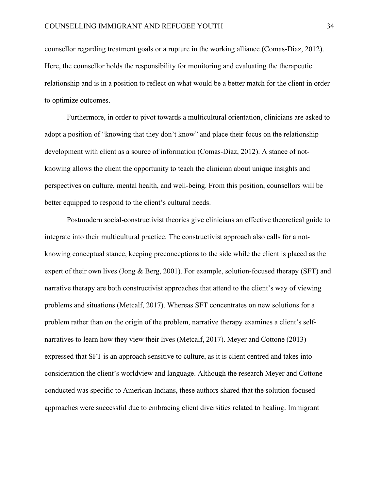counsellor regarding treatment goals or a rupture in the working alliance (Comas-Diaz, 2012). Here, the counsellor holds the responsibility for monitoring and evaluating the therapeutic relationship and is in a position to reflect on what would be a better match for the client in order to optimize outcomes.

Furthermore, in order to pivot towards a multicultural orientation, clinicians are asked to adopt a position of "knowing that they don't know" and place their focus on the relationship development with client as a source of information (Comas-Diaz, 2012). A stance of notknowing allows the client the opportunity to teach the clinician about unique insights and perspectives on culture, mental health, and well-being. From this position, counsellors will be better equipped to respond to the client's cultural needs.

Postmodern social-constructivist theories give clinicians an effective theoretical guide to integrate into their multicultural practice. The constructivist approach also calls for a notknowing conceptual stance, keeping preconceptions to the side while the client is placed as the expert of their own lives (Jong & Berg, 2001). For example, solution-focused therapy (SFT) and narrative therapy are both constructivist approaches that attend to the client's way of viewing problems and situations (Metcalf, 2017). Whereas SFT concentrates on new solutions for a problem rather than on the origin of the problem, narrative therapy examines a client's selfnarratives to learn how they view their lives (Metcalf, 2017). Meyer and Cottone (2013) expressed that SFT is an approach sensitive to culture, as it is client centred and takes into consideration the client's worldview and language. Although the research Meyer and Cottone conducted was specific to American Indians, these authors shared that the solution-focused approaches were successful due to embracing client diversities related to healing. Immigrant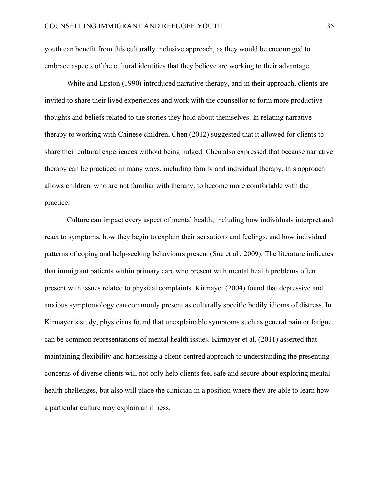youth can benefit from this culturally inclusive approach, as they would be encouraged to embrace aspects of the cultural identities that they believe are working to their advantage.

White and Epston (1990) introduced narrative therapy, and in their approach, clients are invited to share their lived experiences and work with the counsellor to form more productive thoughts and beliefs related to the stories they hold about themselves. In relating narrative therapy to working with Chinese children, Chen (2012) suggested that it allowed for clients to share their cultural experiences without being judged. Chen also expressed that because narrative therapy can be practiced in many ways, including family and individual therapy, this approach allows children, who are not familiar with therapy, to become more comfortable with the practice.

Culture can impact every aspect of mental health, including how individuals interpret and react to symptoms, how they begin to explain their sensations and feelings, and how individual patterns of coping and help-seeking behaviours present (Sue et al., 2009). The literature indicates that immigrant patients within primary care who present with mental health problems often present with issues related to physical complaints. Kirmayer (2004) found that depressive and anxious symptomology can commonly present as culturally specific bodily idioms of distress. In Kirmayer's study, physicians found that unexplainable symptoms such as general pain or fatigue can be common representations of mental health issues. Kirmayer et al. (2011) asserted that maintaining flexibility and harnessing a client-centred approach to understanding the presenting concerns of diverse clients will not only help clients feel safe and secure about exploring mental health challenges, but also will place the clinician in a position where they are able to learn how a particular culture may explain an illness.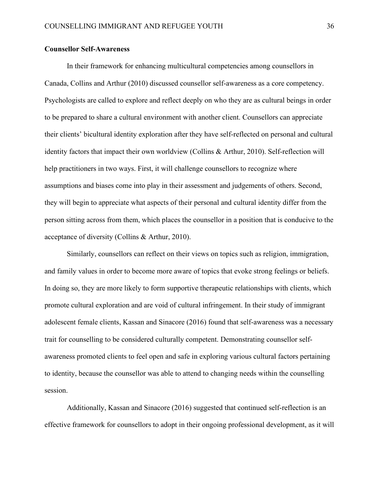## **Counsellor Self-Awareness**

In their framework for enhancing multicultural competencies among counsellors in Canada, Collins and Arthur (2010) discussed counsellor self-awareness as a core competency. Psychologists are called to explore and reflect deeply on who they are as cultural beings in order to be prepared to share a cultural environment with another client. Counsellors can appreciate their clients' bicultural identity exploration after they have self-reflected on personal and cultural identity factors that impact their own worldview (Collins & Arthur, 2010). Self-reflection will help practitioners in two ways. First, it will challenge counsellors to recognize where assumptions and biases come into play in their assessment and judgements of others. Second, they will begin to appreciate what aspects of their personal and cultural identity differ from the person sitting across from them, which places the counsellor in a position that is conducive to the acceptance of diversity (Collins & Arthur, 2010).

Similarly, counsellors can reflect on their views on topics such as religion, immigration, and family values in order to become more aware of topics that evoke strong feelings or beliefs. In doing so, they are more likely to form supportive therapeutic relationships with clients, which promote cultural exploration and are void of cultural infringement. In their study of immigrant adolescent female clients, Kassan and Sinacore (2016) found that self-awareness was a necessary trait for counselling to be considered culturally competent. Demonstrating counsellor selfawareness promoted clients to feel open and safe in exploring various cultural factors pertaining to identity, because the counsellor was able to attend to changing needs within the counselling session.

Additionally, Kassan and Sinacore (2016) suggested that continued self-reflection is an effective framework for counsellors to adopt in their ongoing professional development, as it will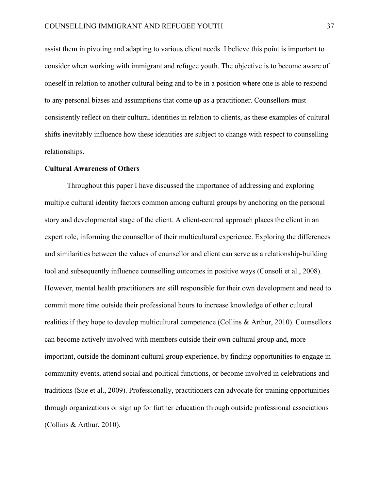assist them in pivoting and adapting to various client needs. I believe this point is important to consider when working with immigrant and refugee youth. The objective is to become aware of oneself in relation to another cultural being and to be in a position where one is able to respond to any personal biases and assumptions that come up as a practitioner. Counsellors must consistently reflect on their cultural identities in relation to clients, as these examples of cultural shifts inevitably influence how these identities are subject to change with respect to counselling relationships.

### **Cultural Awareness of Others**

Throughout this paper I have discussed the importance of addressing and exploring multiple cultural identity factors common among cultural groups by anchoring on the personal story and developmental stage of the client. A client-centred approach places the client in an expert role, informing the counsellor of their multicultural experience. Exploring the differences and similarities between the values of counsellor and client can serve as a relationship-building tool and subsequently influence counselling outcomes in positive ways (Consoli et al., 2008). However, mental health practitioners are still responsible for their own development and need to commit more time outside their professional hours to increase knowledge of other cultural realities if they hope to develop multicultural competence (Collins & Arthur, 2010). Counsellors can become actively involved with members outside their own cultural group and, more important, outside the dominant cultural group experience, by finding opportunities to engage in community events, attend social and political functions, or become involved in celebrations and traditions (Sue et al., 2009). Professionally, practitioners can advocate for training opportunities through organizations or sign up for further education through outside professional associations (Collins & Arthur, 2010).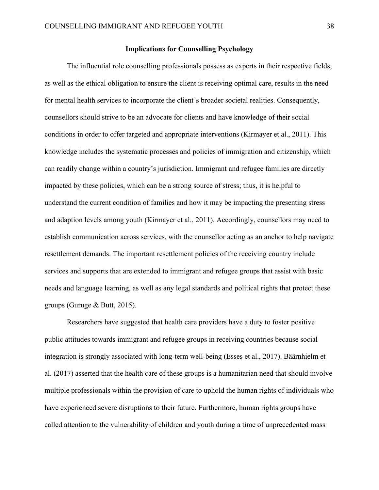## **Implications for Counselling Psychology**

The influential role counselling professionals possess as experts in their respective fields, as well as the ethical obligation to ensure the client is receiving optimal care, results in the need for mental health services to incorporate the client's broader societal realities. Consequently, counsellors should strive to be an advocate for clients and have knowledge of their social conditions in order to offer targeted and appropriate interventions (Kirmayer et al., 2011). This knowledge includes the systematic processes and policies of immigration and citizenship, which can readily change within a country's jurisdiction. Immigrant and refugee families are directly impacted by these policies, which can be a strong source of stress; thus, it is helpful to understand the current condition of families and how it may be impacting the presenting stress and adaption levels among youth (Kirmayer et al., 2011). Accordingly, counsellors may need to establish communication across services, with the counsellor acting as an anchor to help navigate resettlement demands. The important resettlement policies of the receiving country include services and supports that are extended to immigrant and refugee groups that assist with basic needs and language learning, as well as any legal standards and political rights that protect these groups (Guruge & Butt, 2015).

Researchers have suggested that health care providers have a duty to foster positive public attitudes towards immigrant and refugee groups in receiving countries because social integration is strongly associated with long-term well-being (Esses et al., 2017). Bäärnhielm et al. (2017) asserted that the health care of these groups is a humanitarian need that should involve multiple professionals within the provision of care to uphold the human rights of individuals who have experienced severe disruptions to their future. Furthermore, human rights groups have called attention to the vulnerability of children and youth during a time of unprecedented mass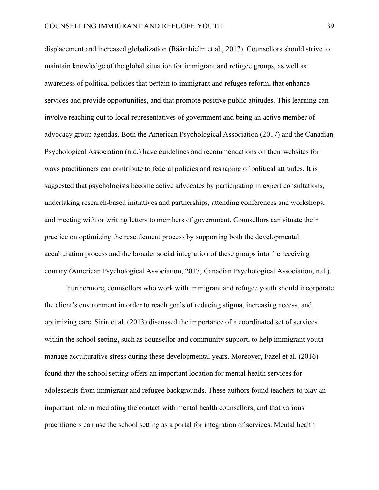displacement and increased globalization (Bäärnhielm et al., 2017). Counsellors should strive to maintain knowledge of the global situation for immigrant and refugee groups, as well as awareness of political policies that pertain to immigrant and refugee reform, that enhance services and provide opportunities, and that promote positive public attitudes. This learning can involve reaching out to local representatives of government and being an active member of advocacy group agendas. Both the American Psychological Association (2017) and the Canadian Psychological Association (n.d.) have guidelines and recommendations on their websites for ways practitioners can contribute to federal policies and reshaping of political attitudes. It is suggested that psychologists become active advocates by participating in expert consultations, undertaking research-based initiatives and partnerships, attending conferences and workshops, and meeting with or writing letters to members of government. Counsellors can situate their practice on optimizing the resettlement process by supporting both the developmental acculturation process and the broader social integration of these groups into the receiving country (American Psychological Association, 2017; Canadian Psychological Association, n.d.).

Furthermore, counsellors who work with immigrant and refugee youth should incorporate the client's environment in order to reach goals of reducing stigma, increasing access, and optimizing care. Sirin et al. (2013) discussed the importance of a coordinated set of services within the school setting, such as counsellor and community support, to help immigrant youth manage acculturative stress during these developmental years. Moreover, Fazel et al. (2016) found that the school setting offers an important location for mental health services for adolescents from immigrant and refugee backgrounds. These authors found teachers to play an important role in mediating the contact with mental health counsellors, and that various practitioners can use the school setting as a portal for integration of services. Mental health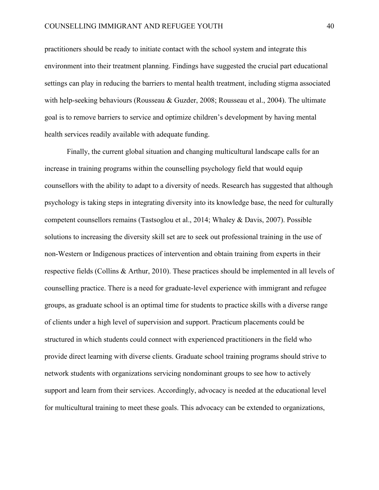practitioners should be ready to initiate contact with the school system and integrate this environment into their treatment planning. Findings have suggested the crucial part educational settings can play in reducing the barriers to mental health treatment, including stigma associated with help-seeking behaviours (Rousseau & Guzder, 2008; Rousseau et al., 2004). The ultimate goal is to remove barriers to service and optimize children's development by having mental health services readily available with adequate funding.

Finally, the current global situation and changing multicultural landscape calls for an increase in training programs within the counselling psychology field that would equip counsellors with the ability to adapt to a diversity of needs. Research has suggested that although psychology is taking steps in integrating diversity into its knowledge base, the need for culturally competent counsellors remains (Tastsoglou et al., 2014; Whaley & Davis, 2007). Possible solutions to increasing the diversity skill set are to seek out professional training in the use of non-Western or Indigenous practices of intervention and obtain training from experts in their respective fields (Collins & Arthur, 2010). These practices should be implemented in all levels of counselling practice. There is a need for graduate-level experience with immigrant and refugee groups, as graduate school is an optimal time for students to practice skills with a diverse range of clients under a high level of supervision and support. Practicum placements could be structured in which students could connect with experienced practitioners in the field who provide direct learning with diverse clients. Graduate school training programs should strive to network students with organizations servicing nondominant groups to see how to actively support and learn from their services. Accordingly, advocacy is needed at the educational level for multicultural training to meet these goals. This advocacy can be extended to organizations,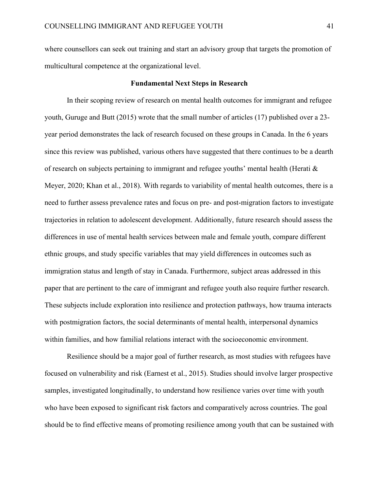where counsellors can seek out training and start an advisory group that targets the promotion of multicultural competence at the organizational level.

### **Fundamental Next Steps in Research**

In their scoping review of research on mental health outcomes for immigrant and refugee youth, Guruge and Butt (2015) wrote that the small number of articles (17) published over a 23 year period demonstrates the lack of research focused on these groups in Canada. In the 6 years since this review was published, various others have suggested that there continues to be a dearth of research on subjects pertaining to immigrant and refugee youths' mental health (Herati & Meyer, 2020; Khan et al., 2018). With regards to variability of mental health outcomes, there is a need to further assess prevalence rates and focus on pre- and post-migration factors to investigate trajectories in relation to adolescent development. Additionally, future research should assess the differences in use of mental health services between male and female youth, compare different ethnic groups, and study specific variables that may yield differences in outcomes such as immigration status and length of stay in Canada. Furthermore, subject areas addressed in this paper that are pertinent to the care of immigrant and refugee youth also require further research. These subjects include exploration into resilience and protection pathways, how trauma interacts with postmigration factors, the social determinants of mental health, interpersonal dynamics within families, and how familial relations interact with the socioeconomic environment.

Resilience should be a major goal of further research, as most studies with refugees have focused on vulnerability and risk (Earnest et al., 2015). Studies should involve larger prospective samples, investigated longitudinally, to understand how resilience varies over time with youth who have been exposed to significant risk factors and comparatively across countries. The goal should be to find effective means of promoting resilience among youth that can be sustained with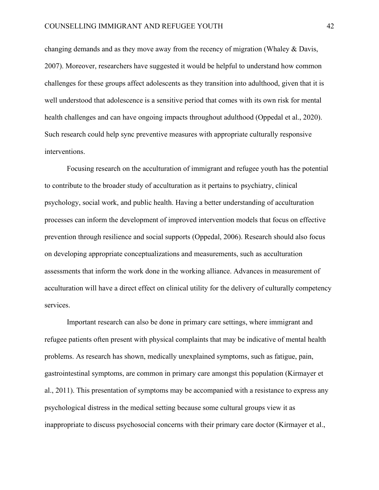changing demands and as they move away from the recency of migration (Whaley & Davis, 2007). Moreover, researchers have suggested it would be helpful to understand how common challenges for these groups affect adolescents as they transition into adulthood, given that it is well understood that adolescence is a sensitive period that comes with its own risk for mental health challenges and can have ongoing impacts throughout adulthood (Oppedal et al., 2020). Such research could help sync preventive measures with appropriate culturally responsive interventions.

Focusing research on the acculturation of immigrant and refugee youth has the potential to contribute to the broader study of acculturation as it pertains to psychiatry, clinical psychology, social work, and public health. Having a better understanding of acculturation processes can inform the development of improved intervention models that focus on effective prevention through resilience and social supports (Oppedal, 2006). Research should also focus on developing appropriate conceptualizations and measurements, such as acculturation assessments that inform the work done in the working alliance. Advances in measurement of acculturation will have a direct effect on clinical utility for the delivery of culturally competency services.

Important research can also be done in primary care settings, where immigrant and refugee patients often present with physical complaints that may be indicative of mental health problems. As research has shown, medically unexplained symptoms, such as fatigue, pain, gastrointestinal symptoms, are common in primary care amongst this population (Kirmayer et al., 2011). This presentation of symptoms may be accompanied with a resistance to express any psychological distress in the medical setting because some cultural groups view it as inappropriate to discuss psychosocial concerns with their primary care doctor (Kirmayer et al.,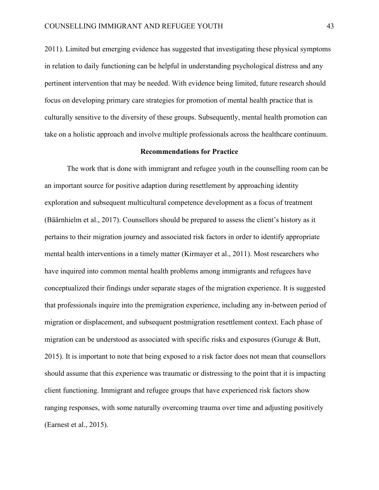2011). Limited but emerging evidence has suggested that investigating these physical symptoms in relation to daily functioning can be helpful in understanding psychological distress and any pertinent intervention that may be needed. With evidence being limited, future research should focus on developing primary care strategies for promotion of mental health practice that is culturally sensitive to the diversity of these groups. Subsequently, mental health promotion can take on a holistic approach and involve multiple professionals across the healthcare continuum.

## **Recommendations for Practice**

The work that is done with immigrant and refugee youth in the counselling room can be an important source for positive adaption during resettlement by approaching identity exploration and subsequent multicultural competence development as a focus of treatment (Bäärnhielm et al., 2017). Counsellors should be prepared to assess the client's history as it pertains to their migration journey and associated risk factors in order to identify appropriate mental health interventions in a timely matter (Kirmayer et al., 2011). Most researchers who have inquired into common mental health problems among immigrants and refugees have conceptualized their findings under separate stages of the migration experience. It is suggested that professionals inquire into the premigration experience, including any in-between period of migration or displacement, and subsequent postmigration resettlement context. Each phase of migration can be understood as associated with specific risks and exposures (Guruge & Butt, 2015). It is important to note that being exposed to a risk factor does not mean that counsellors should assume that this experience was traumatic or distressing to the point that it is impacting client functioning. Immigrant and refugee groups that have experienced risk factors show ranging responses, with some naturally overcoming trauma over time and adjusting positively (Earnest et al., 2015).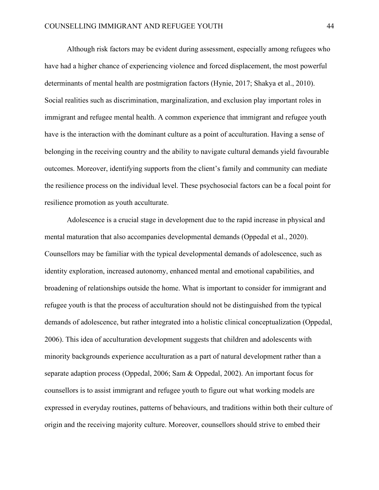Although risk factors may be evident during assessment, especially among refugees who have had a higher chance of experiencing violence and forced displacement, the most powerful determinants of mental health are postmigration factors (Hynie, 2017; Shakya et al., 2010). Social realities such as discrimination, marginalization, and exclusion play important roles in immigrant and refugee mental health. A common experience that immigrant and refugee youth have is the interaction with the dominant culture as a point of acculturation. Having a sense of belonging in the receiving country and the ability to navigate cultural demands yield favourable outcomes. Moreover, identifying supports from the client's family and community can mediate the resilience process on the individual level. These psychosocial factors can be a focal point for resilience promotion as youth acculturate.

Adolescence is a crucial stage in development due to the rapid increase in physical and mental maturation that also accompanies developmental demands (Oppedal et al., 2020). Counsellors may be familiar with the typical developmental demands of adolescence, such as identity exploration, increased autonomy, enhanced mental and emotional capabilities, and broadening of relationships outside the home. What is important to consider for immigrant and refugee youth is that the process of acculturation should not be distinguished from the typical demands of adolescence, but rather integrated into a holistic clinical conceptualization (Oppedal, 2006). This idea of acculturation development suggests that children and adolescents with minority backgrounds experience acculturation as a part of natural development rather than a separate adaption process (Oppedal, 2006; Sam & Oppedal, 2002). An important focus for counsellors is to assist immigrant and refugee youth to figure out what working models are expressed in everyday routines, patterns of behaviours, and traditions within both their culture of origin and the receiving majority culture. Moreover, counsellors should strive to embed their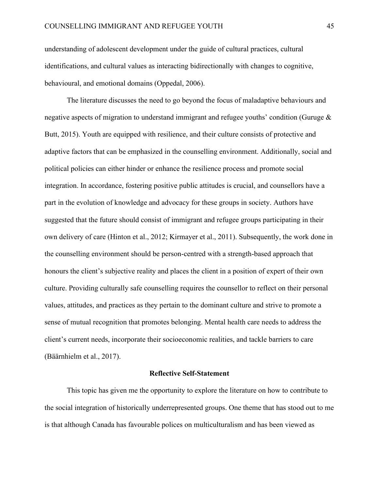understanding of adolescent development under the guide of cultural practices, cultural identifications, and cultural values as interacting bidirectionally with changes to cognitive, behavioural, and emotional domains (Oppedal, 2006).

The literature discusses the need to go beyond the focus of maladaptive behaviours and negative aspects of migration to understand immigrant and refugee youths' condition (Guruge & Butt, 2015). Youth are equipped with resilience, and their culture consists of protective and adaptive factors that can be emphasized in the counselling environment. Additionally, social and political policies can either hinder or enhance the resilience process and promote social integration. In accordance, fostering positive public attitudes is crucial, and counsellors have a part in the evolution of knowledge and advocacy for these groups in society. Authors have suggested that the future should consist of immigrant and refugee groups participating in their own delivery of care (Hinton et al., 2012; Kirmayer et al., 2011). Subsequently, the work done in the counselling environment should be person-centred with a strength-based approach that honours the client's subjective reality and places the client in a position of expert of their own culture. Providing culturally safe counselling requires the counsellor to reflect on their personal values, attitudes, and practices as they pertain to the dominant culture and strive to promote a sense of mutual recognition that promotes belonging. Mental health care needs to address the client's current needs, incorporate their socioeconomic realities, and tackle barriers to care (Bäärnhielm et al., 2017).

### **Reflective Self-Statement**

This topic has given me the opportunity to explore the literature on how to contribute to the social integration of historically underrepresented groups. One theme that has stood out to me is that although Canada has favourable polices on multiculturalism and has been viewed as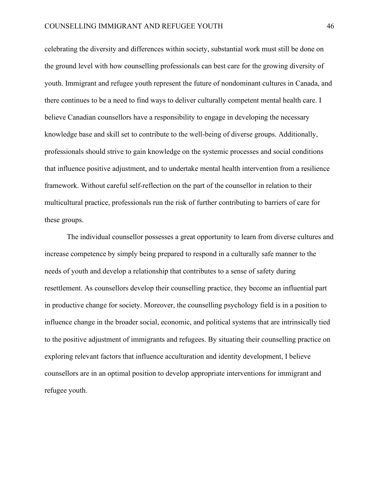celebrating the diversity and differences within society, substantial work must still be done on the ground level with how counselling professionals can best care for the growing diversity of youth. Immigrant and refugee youth represent the future of nondominant cultures in Canada, and there continues to be a need to find ways to deliver culturally competent mental health care. I believe Canadian counsellors have a responsibility to engage in developing the necessary knowledge base and skill set to contribute to the well-being of diverse groups. Additionally, professionals should strive to gain knowledge on the systemic processes and social conditions that influence positive adjustment, and to undertake mental health intervention from a resilience framework. Without careful self-reflection on the part of the counsellor in relation to their multicultural practice, professionals run the risk of further contributing to barriers of care for these groups.

The individual counsellor possesses a great opportunity to learn from diverse cultures and increase competence by simply being prepared to respond in a culturally safe manner to the needs of youth and develop a relationship that contributes to a sense of safety during resettlement. As counsellors develop their counselling practice, they become an influential part in productive change for society. Moreover, the counselling psychology field is in a position to influence change in the broader social, economic, and political systems that are intrinsically tied to the positive adjustment of immigrants and refugees. By situating their counselling practice on exploring relevant factors that influence acculturation and identity development, I believe counsellors are in an optimal position to develop appropriate interventions for immigrant and refugee youth.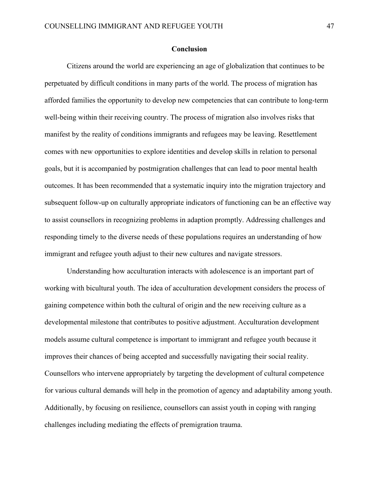### **Conclusion**

Citizens around the world are experiencing an age of globalization that continues to be perpetuated by difficult conditions in many parts of the world. The process of migration has afforded families the opportunity to develop new competencies that can contribute to long-term well-being within their receiving country. The process of migration also involves risks that manifest by the reality of conditions immigrants and refugees may be leaving. Resettlement comes with new opportunities to explore identities and develop skills in relation to personal goals, but it is accompanied by postmigration challenges that can lead to poor mental health outcomes. It has been recommended that a systematic inquiry into the migration trajectory and subsequent follow-up on culturally appropriate indicators of functioning can be an effective way to assist counsellors in recognizing problems in adaption promptly. Addressing challenges and responding timely to the diverse needs of these populations requires an understanding of how immigrant and refugee youth adjust to their new cultures and navigate stressors.

Understanding how acculturation interacts with adolescence is an important part of working with bicultural youth. The idea of acculturation development considers the process of gaining competence within both the cultural of origin and the new receiving culture as a developmental milestone that contributes to positive adjustment. Acculturation development models assume cultural competence is important to immigrant and refugee youth because it improves their chances of being accepted and successfully navigating their social reality. Counsellors who intervene appropriately by targeting the development of cultural competence for various cultural demands will help in the promotion of agency and adaptability among youth. Additionally, by focusing on resilience, counsellors can assist youth in coping with ranging challenges including mediating the effects of premigration trauma.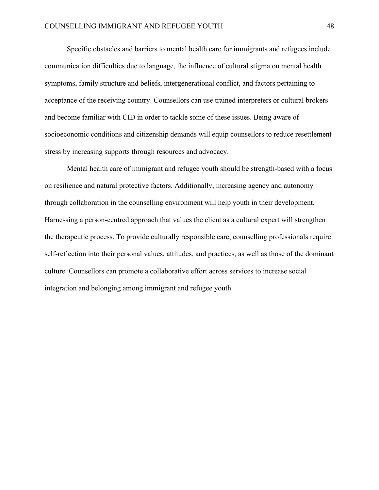Specific obstacles and barriers to mental health care for immigrants and refugees include communication difficulties due to language, the influence of cultural stigma on mental health symptoms, family structure and beliefs, intergenerational conflict, and factors pertaining to acceptance of the receiving country. Counsellors can use trained interpreters or cultural brokers and become familiar with CID in order to tackle some of these issues. Being aware of socioeconomic conditions and citizenship demands will equip counsellors to reduce resettlement stress by increasing supports through resources and advocacy.

Mental health care of immigrant and refugee youth should be strength-based with a focus on resilience and natural protective factors. Additionally, increasing agency and autonomy through collaboration in the counselling environment will help youth in their development. Harnessing a person-centred approach that values the client as a cultural expert will strengthen the therapeutic process. To provide culturally responsible care, counselling professionals require self-reflection into their personal values, attitudes, and practices, as well as those of the dominant culture. Counsellors can promote a collaborative effort across services to increase social integration and belonging among immigrant and refugee youth.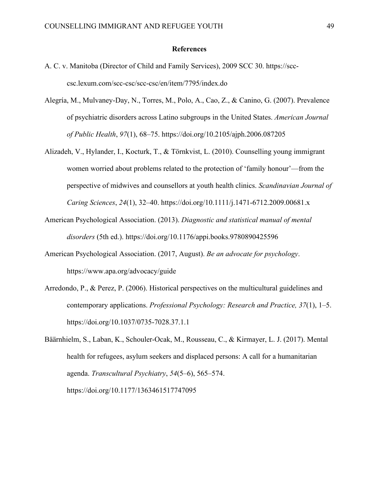### **References**

- A. C. v. Manitoba (Director of Child and Family Services), 2009 SCC 30. [https://scc](https://scc-csc.lexum.com/scc-csc/scc-csc/en/item/7795/index.do)[csc.lexum.com/scc-csc/scc-csc/en/item/7795/index.do](https://scc-csc.lexum.com/scc-csc/scc-csc/en/item/7795/index.do)
- Alegría, M., Mulvaney-Day, N., Torres, M., Polo, A., Cao, Z., & Canino, G. (2007). Prevalence of psychiatric disorders across Latino subgroups in the United States. *American Journal of Public Health*, *97*(1), 68–75. <https://doi.org/10.2105/ajph.2006.087205>
- Alizadeh, V., Hylander, I., Kocturk, T., & Törnkvist, L. (2010). Counselling young immigrant women worried about problems related to the protection of 'family honour'—from the perspective of midwives and counsellors at youth health clinics. *Scandinavian Journal of Caring Sciences*, *24*(1), 32–40. <https://doi.org/10.1111/j.1471-6712.2009.00681.x>
- American Psychological Association. (2013). *Diagnostic and statistical manual of mental disorders* (5th ed.). <https://doi.org/10.1176/appi.books.9780890425596>
- American Psychological Association. (2017, August). *Be an advocate for psychology*. <https://www.apa.org/advocacy/guide>
- Arredondo, P., & Perez, P. (2006). Historical perspectives on the multicultural guidelines and contemporary applications. *Professional Psychology: Research and Practice, 37*(1), 1–5. <https://doi.org/10.1037/0735-7028.37.1.1>
- Bäärnhielm, S., Laban, K., Schouler-Ocak, M., Rousseau, C., & Kirmayer, L. J. (2017). Mental health for refugees, asylum seekers and displaced persons: A call for a humanitarian agenda. *Transcultural Psychiatry*, *54*(5–6), 565–574. <https://doi.org/10.1177/1363461517747095>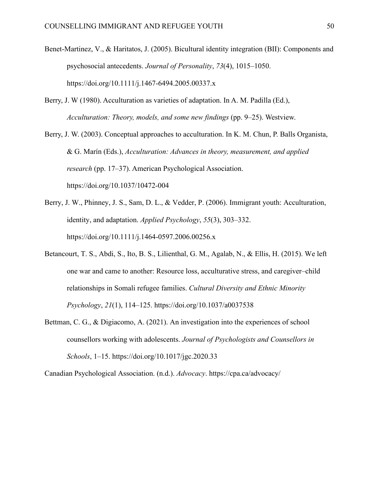- Benet-Martinez, V., & Haritatos, J. (2005). Bicultural identity integration (BII): Components and psychosocial antecedents. *Journal of Personality*, *73*(4), 1015–1050. <https://doi.org/10.1111/j.1467-6494.2005.00337.x>
- Berry, J. W (1980). Acculturation as varieties of adaptation. In A. M. Padilla (Ed.), *Acculturation: Theory, models, and some new findings* (pp. 9–25). Westview.

Berry, J. W. (2003). Conceptual approaches to acculturation. In K. M. Chun, P. Balls Organista, & G. Marín (Eds.), *Acculturation: Advances in theory, measurement, and applied research* (pp. 17–37). American Psychological Association. <https://doi.org/10.1037/10472-004>

- Berry, J. W., Phinney, J. S., Sam, D. L., & Vedder, P. (2006). Immigrant youth: Acculturation, identity, and adaptation. *Applied Psychology*, *55*(3), 303–332. <https://doi.org/10.1111/j.1464-0597.2006.00256.x>
- Betancourt, T. S., Abdi, S., Ito, B. S., Lilienthal, G. M., Agalab, N., & Ellis, H. (2015). We left one war and came to another: Resource loss, acculturative stress, and caregiver–child relationships in Somali refugee families. *Cultural Diversity and Ethnic Minority Psychology*, *21*(1), 114–125. <https://doi.org/10.1037/a0037538>
- Bettman, C. G., & Digiacomo, A. (2021). An investigation into the experiences of school counsellors working with adolescents. *Journal of Psychologists and Counsellors in Schools*, 1–15. <https://doi.org/10.1017/jgc.2020.33>

Canadian Psychological Association. (n.d.). *Advocacy*. https://cpa.ca/advocacy/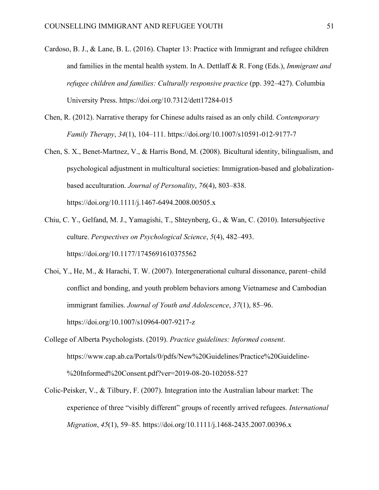- Cardoso, B. J., & Lane, B. L. (2016). Chapter 13: Practice with Immigrant and refugee children and families in the mental health system. In A. Dettlaff & R. Fong (Eds.), *Immigrant and refugee children and families: Culturally responsive practice* (pp. 392–427). Columbia University Press. <https://doi.org/10.7312/dett17284-015>
- Chen, R. (2012). Narrative therapy for Chinese adults raised as an only child. *Contemporary Family Therapy*, *34*(1), 104–111. <https://doi.org/10.1007/s10591-012-9177-7>
- Chen, S. X., Benet-Martnez, V., & Harris Bond, M. (2008). Bicultural identity, bilingualism, and psychological adjustment in multicultural societies: Immigration-based and globalizationbased acculturation. *Journal of Personality*, *76*(4), 803–838. <https://doi.org/10.1111/j.1467-6494.2008.00505.x>
- Chiu, C. Y., Gelfand, M. J., Yamagishi, T., Shteynberg, G., & Wan, C. (2010). Intersubjective culture. *Perspectives on Psychological Science*, *5*(4), 482–493. <https://doi.org/10.1177/1745691610375562>
- Choi, Y., He, M., & Harachi, T. W. (2007). Intergenerational cultural dissonance, parent–child conflict and bonding, and youth problem behaviors among Vietnamese and Cambodian immigrant families. *Journal of Youth and Adolescence*, *37*(1), 85–96. <https://doi.org/10.1007/s10964-007-9217-z>
- College of Alberta Psychologists. (2019). *Practice guidelines: Informed consent*. [https://www.cap.ab.ca/Portals/0/pdfs/New%20Guidelines/Practice%20Guideline-](https://www.cap.ab.ca/Portals/0/pdfs/New%20Guidelines/Practice%20Guideline-%20Informed%20Consent.pdf?ver=2019-08-20-102058-527) [%20Informed%20Consent.pdf?ver=2019-08-20-102058-527](https://www.cap.ab.ca/Portals/0/pdfs/New%20Guidelines/Practice%20Guideline-%20Informed%20Consent.pdf?ver=2019-08-20-102058-527)
- Colic-Peisker, V., & Tilbury, F. (2007). Integration into the Australian labour market: The experience of three "visibly different" groups of recently arrived refugees. *International Migration*, *45*(1), 59–85. <https://doi.org/10.1111/j.1468-2435.2007.00396.x>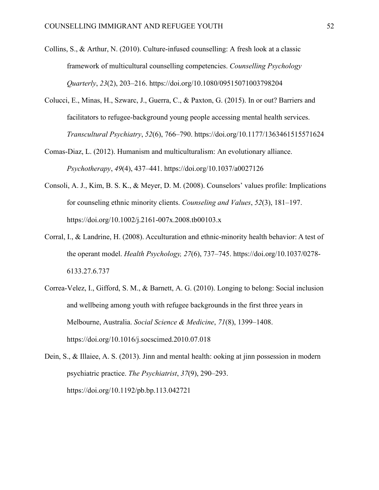- Collins, S., & Arthur, N. (2010). Culture-infused counselling: A fresh look at a classic framework of multicultural counselling competencies. *Counselling Psychology Quarterly*, *23*(2), 203–216. <https://doi.org/10.1080/09515071003798204>
- Colucci, E., Minas, H., Szwarc, J., Guerra, C., & Paxton, G. (2015). In or out? Barriers and facilitators to refugee-background young people accessing mental health services. *Transcultural Psychiatry*, *52*(6), 766–790. <https://doi.org/10.1177/1363461515571624>
- Comas-Diaz, L. (2012). Humanism and multiculturalism: An evolutionary alliance. *Psychotherapy*, *49*(4), 437–441. <https://doi.org/10.1037/a0027126>
- Consoli, A. J., Kim, B. S. K., & Meyer, D. M. (2008). Counselors' values profile: Implications for counseling ethnic minority clients. *Counseling and Values*, *52*(3), 181–197. <https://doi.org/10.1002/j.2161-007x.2008.tb00103.x>
- Corral, I., & Landrine, H. (2008). Acculturation and ethnic-minority health behavior: A test of the operant model. *Health Psychology, 27*(6), 737–745. [https://doi.org/10.1037/0278-](https://doi.org/10.1037/0278-6133.27.6.737) [6133.27.6.737](https://doi.org/10.1037/0278-6133.27.6.737)
- Correa-Velez, I., Gifford, S. M., & Barnett, A. G. (2010). Longing to belong: Social inclusion and wellbeing among youth with refugee backgrounds in the first three years in Melbourne, Australia. *Social Science & Medicine*, *71*(8), 1399–1408. <https://doi.org/10.1016/j.socscimed.2010.07.018>
- Dein, S., & Illaiee, A. S. (2013). Jinn and mental health: ooking at jinn possession in modern psychiatric practice. *The Psychiatrist*, *37*(9), 290–293. <https://doi.org/10.1192/pb.bp.113.042721>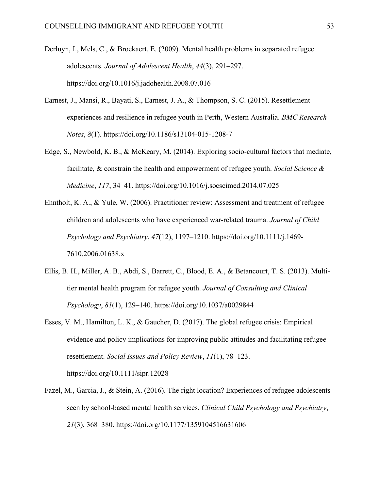- Derluyn, I., Mels, C., & Broekaert, E. (2009). Mental health problems in separated refugee adolescents. *Journal of Adolescent Health*, *44*(3), 291–297. <https://doi.org/10.1016/j.jadohealth.2008.07.016>
- Earnest, J., Mansi, R., Bayati, S., Earnest, J. A., & Thompson, S. C. (2015). Resettlement experiences and resilience in refugee youth in Perth, Western Australia. *BMC Research Notes*, *8*(1). <https://doi.org/10.1186/s13104-015-1208-7>
- Edge, S., Newbold, K. B., & McKeary, M. (2014). Exploring socio-cultural factors that mediate, facilitate, & constrain the health and empowerment of refugee youth. *Social Science & Medicine*, *117*, 34–41. <https://doi.org/10.1016/j.socscimed.2014.07.025>
- Ehntholt, K. A., & Yule, W. (2006). Practitioner review: Assessment and treatment of refugee children and adolescents who have experienced war-related trauma. *Journal of Child Psychology and Psychiatry*, *47*(12), 1197–1210. [https://doi.org/10.1111/j.1469-](https://doi.org/10.1111/j.1469-7610.2006.01638.x) [7610.2006.01638.x](https://doi.org/10.1111/j.1469-7610.2006.01638.x)
- Ellis, B. H., Miller, A. B., Abdi, S., Barrett, C., Blood, E. A., & Betancourt, T. S. (2013). Multitier mental health program for refugee youth. *Journal of Consulting and Clinical Psychology*, *81*(1), 129–140. <https://doi.org/10.1037/a0029844>
- Esses, V. M., Hamilton, L. K., & Gaucher, D. (2017). The global refugee crisis: Empirical evidence and policy implications for improving public attitudes and facilitating refugee resettlement. *Social Issues and Policy Review*, *11*(1), 78–123. <https://doi.org/10.1111/sipr.12028>
- Fazel, M., Garcia, J., & Stein, A. (2016). The right location? Experiences of refugee adolescents seen by school-based mental health services. *Clinical Child Psychology and Psychiatry*, *21*(3), 368–380. <https://doi.org/10.1177/1359104516631606>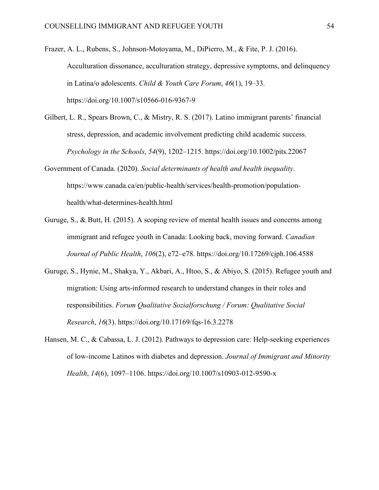Frazer, A. L., Rubens, S., Johnson-Motoyama, M., DiPierro, M., & Fite, P. J. (2016). Acculturation dissonance, acculturation strategy, depressive symptoms, and delinquency in Latina/o adolescents. *Child & Youth Care Forum*, *46*(1), 19–33. <https://doi.org/10.1007/s10566-016-9367-9>

Gilbert, L. R., Spears Brown, C., & Mistry, R. S. (2017). Latino immigrant parents' financial stress, depression, and academic involvement predicting child academic success. *Psychology in the Schools*, *54*(9), 1202–1215. <https://doi.org/10.1002/pits.22067>

Government of Canada. (2020). *Social determinants of health and health inequality*. [https://www.canada.ca/en/public-health/services/health-promotion/population](https://www.canada.ca/en/public-health/services/health-promotion/population-health/what-determines-health.html)[health/what-determines-health.html](https://www.canada.ca/en/public-health/services/health-promotion/population-health/what-determines-health.html)

- Guruge, S., & Butt, H. (2015). A scoping review of mental health issues and concerns among immigrant and refugee youth in Canada: Looking back, moving forward. *Canadian Journal of Public Health*, *106*(2), e72–e78. <https://doi.org/10.17269/cjph.106.4588>
- Guruge, S., Hynie, M., Shakya, Y., Akbari, A., Htoo, S., & Abiyo, S. (2015). Refugee youth and migration: Using arts-informed research to understand changes in their roles and responsibilities. *Forum Qualitative Sozialforschung / Forum: Qualitative Social Research*, *16*(3). <https://doi.org/10.17169/fqs-16.3.2278>
- Hansen, M. C., & Cabassa, L. J. (2012). Pathways to depression care: Help-seeking experiences of low-income Latinos with diabetes and depression. *Journal of Immigrant and Minority Health*, *14*(6), 1097–1106. <https://doi.org/10.1007/s10903-012-9590-x>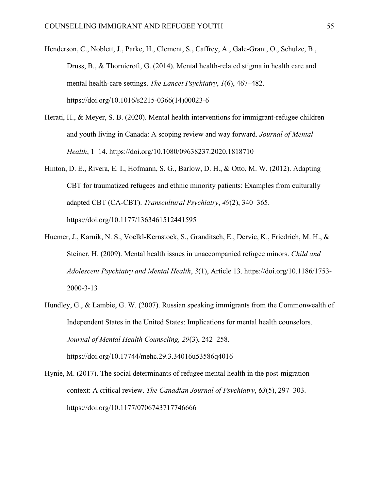Henderson, C., Noblett, J., Parke, H., Clement, S., Caffrey, A., Gale-Grant, O., Schulze, B., Druss, B., & Thornicroft, G. (2014). Mental health-related stigma in health care and mental health-care settings. *The Lancet Psychiatry*, *1*(6), 467–482. [https://doi.org/10.1016/s2215-0366\(14\)00023-6](https://doi.org/10.1016/s2215-0366(14)00023-6)

- Herati, H., & Meyer, S. B. (2020). Mental health interventions for immigrant-refugee children and youth living in Canada: A scoping review and way forward. *Journal of Mental Health*, 1–14. <https://doi.org/10.1080/09638237.2020.1818710>
- Hinton, D. E., Rivera, E. I., Hofmann, S. G., Barlow, D. H., & Otto, M. W. (2012). Adapting CBT for traumatized refugees and ethnic minority patients: Examples from culturally adapted CBT (CA-CBT). *Transcultural Psychiatry*, *49*(2), 340–365. <https://doi.org/10.1177/1363461512441595>
- Huemer, J., Karnik, N. S., Voelkl-Kernstock, S., Granditsch, E., Dervic, K., Friedrich, M. H., & Steiner, H. (2009). Mental health issues in unaccompanied refugee minors. *Child and Adolescent Psychiatry and Mental Health*, *3*(1), Article 13. [https://doi.org/10.1186/1753-](https://doi.org/10.1186/1753-2000-3-13) [2000-3-13](https://doi.org/10.1186/1753-2000-3-13)
- Hundley, G., & Lambie, G. W. (2007). Russian speaking immigrants from the Commonwealth of Independent States in the United States: Implications for mental health counselors. *Journal of Mental Health Counseling, 29*(3), 242–258. [https://doi.org/10.17744/mehc.29.3.34016u53586q4016](https://psycnet.apa.org/doi/10.17744/mehc.29.3.34016u53586q4016)
- Hynie, M. (2017). The social determinants of refugee mental health in the post-migration context: A critical review. *The Canadian Journal of Psychiatry*, *63*(5), 297–303. <https://doi.org/10.1177/0706743717746666>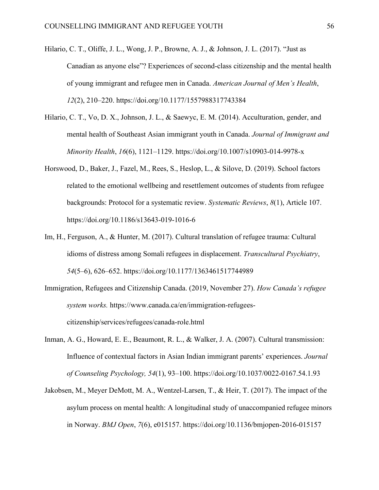Hilario, C. T., Oliffe, J. L., Wong, J. P., Browne, A. J., & Johnson, J. L. (2017). "Just as Canadian as anyone else"? Experiences of second-class citizenship and the mental health of young immigrant and refugee men in Canada. *American Journal of Men's Health*, *12*(2), 210–220. <https://doi.org/10.1177/1557988317743384>

- Hilario, C. T., Vo, D. X., Johnson, J. L., & Saewyc, E. M. (2014). Acculturation, gender, and mental health of Southeast Asian immigrant youth in Canada. *Journal of Immigrant and Minority Health*, *16*(6), 1121–1129. <https://doi.org/10.1007/s10903-014-9978-x>
- Horswood, D., Baker, J., Fazel, M., Rees, S., Heslop, L., & Silove, D. (2019). School factors related to the emotional wellbeing and resettlement outcomes of students from refugee backgrounds: Protocol for a systematic review. *Systematic Reviews*, *8*(1), Article 107. <https://doi.org/10.1186/s13643-019-1016-6>
- Im, H., Ferguson, A., & Hunter, M. (2017). Cultural translation of refugee trauma: Cultural idioms of distress among Somali refugees in displacement. *Transcultural Psychiatry*, *54*(5–6), 626–652. <https://doi.org/10.1177/1363461517744989>
- Immigration, Refugees and Citizenship Canada. (2019, November 27). *How Canada's refugee system works.* [https://www.canada.ca/en/immigration-refugees](https://www.canada.ca/en/immigration-refugees-citizenship/services/refugees/canada-role.html)[citizenship/services/refugees/canada-role.html](https://www.canada.ca/en/immigration-refugees-citizenship/services/refugees/canada-role.html)
- Inman, A. G., Howard, E. E., Beaumont, R. L., & Walker, J. A. (2007). Cultural transmission: Influence of contextual factors in Asian Indian immigrant parents' experiences. *Journal of Counseling Psychology, 54*(1), 93–100. [https://doi.org/10.1037/0022-0167.54.1.93](https://psycnet.apa.org/doi/10.1037/0022-0167.54.1.93)
- Jakobsen, M., Meyer DeMott, M. A., Wentzel-Larsen, T., & Heir, T. (2017). The impact of the asylum process on mental health: A longitudinal study of unaccompanied refugee minors in Norway. *BMJ Open*, *7*(6), e015157. <https://doi.org/10.1136/bmjopen-2016-015157>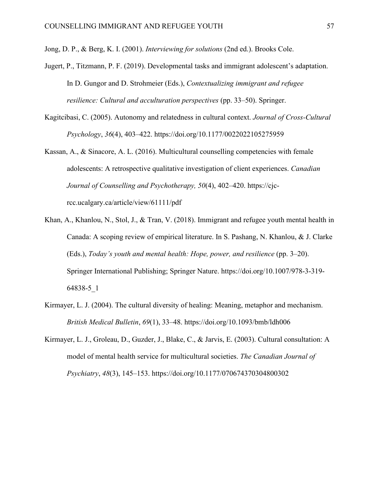Jong, D. P., & Berg, K. I. (2001). *Interviewing for solutions* (2nd ed.). Brooks Cole.

- Jugert, P., Titzmann, P. F. (2019). Developmental tasks and immigrant adolescent's adaptation. In D. Gungor and D. Strohmeier (Eds.), *Contextualizing immigrant and refugee resilience: Cultural and acculturation perspectives* (pp. 33–50). Springer.
- Kagitcibasi, C. (2005). Autonomy and relatedness in cultural context. *Journal of Cross-Cultural Psychology*, *36*(4), 403–422. <https://doi.org/10.1177/0022022105275959>
- Kassan, A., & Sinacore, A. L. (2016). Multicultural counselling competencies with female adolescents: A retrospective qualitative investigation of client experiences. *Canadian Journal of Counselling and Psychotherapy, 50*(4), 402–420. [https://cjc](https://cjc-rcc.ucalgary.ca/article/view/61111/pdf)[rcc.ucalgary.ca/article/view/61111/pdf](https://cjc-rcc.ucalgary.ca/article/view/61111/pdf)
- Khan, A., Khanlou, N., Stol, J., & Tran, V. (2018). Immigrant and refugee youth mental health in Canada: A scoping review of empirical literature. In S. Pashang, N. Khanlou, & J. Clarke (Eds.), *Today's youth and mental health: Hope, power, and resilience* (pp. 3–20). Springer International Publishing; Springer Nature. [https://doi.org/10.1007/978-3-319-](https://psycnet.apa.org/doi/10.1007/978-3-319-64838-5_1) [64838-5\\_1](https://psycnet.apa.org/doi/10.1007/978-3-319-64838-5_1)
- Kirmayer, L. J. (2004). The cultural diversity of healing: Meaning, metaphor and mechanism. *British Medical Bulletin*, *69*(1), 33–48. <https://doi.org/10.1093/bmb/ldh006>
- Kirmayer, L. J., Groleau, D., Guzder, J., Blake, C., & Jarvis, E. (2003). Cultural consultation: A model of mental health service for multicultural societies. *The Canadian Journal of Psychiatry*, *48*(3), 145–153. <https://doi.org/10.1177/070674370304800302>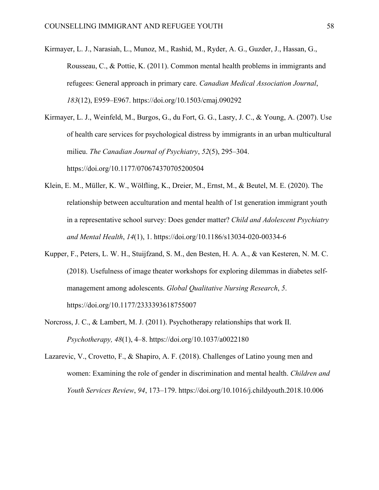Kirmayer, L. J., Narasiah, L., Munoz, M., Rashid, M., Ryder, A. G., Guzder, J., Hassan, G., Rousseau, C., & Pottie, K. (2011). Common mental health problems in immigrants and refugees: General approach in primary care. *Canadian Medical Association Journal*, *183*(12), E959–E967. <https://doi.org/10.1503/cmaj.090292>

Kirmayer, L. J., Weinfeld, M., Burgos, G., du Fort, G. G., Lasry, J. C., & Young, A. (2007). Use of health care services for psychological distress by immigrants in an urban multicultural milieu. *The Canadian Journal of Psychiatry*, *52*(5), 295–304. <https://doi.org/10.1177/070674370705200504>

- Klein, E. M., Müller, K. W., Wölfling, K., Dreier, M., Ernst, M., & Beutel, M. E. (2020). The relationship between acculturation and mental health of 1st generation immigrant youth in a representative school survey: Does gender matter? *Child and Adolescent Psychiatry and Mental Health*, *14*(1), 1. <https://doi.org/10.1186/s13034-020-00334-6>
- Kupper, F., Peters, L. W. H., Stuijfzand, S. M., den Besten, H. A. A., & van Kesteren, N. M. C. (2018). Usefulness of image theater workshops for exploring dilemmas in diabetes selfmanagement among adolescents. *Global Qualitative Nursing Research*, *5*. <https://doi.org/10.1177/2333393618755007>
- Norcross, J. C., & Lambert, M. J. (2011). Psychotherapy relationships that work II. *Psychotherapy, 48*(1), 4–8. <https://doi.org/10.1037/a0022180>
- Lazarevic, V., Crovetto, F., & Shapiro, A. F. (2018). Challenges of Latino young men and women: Examining the role of gender in discrimination and mental health. *Children and Youth Services Review*, *94*, 173–179. <https://doi.org/10.1016/j.childyouth.2018.10.006>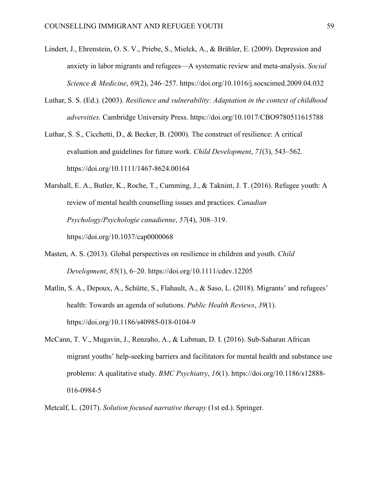- Lindert, J., Ehrenstein, O. S. V., Priebe, S., Mielck, A., & Brähler, E. (2009). Depression and anxiety in labor migrants and refugees—A systematic review and meta-analysis. *Social Science & Medicine*, *69*(2), 246–257. <https://doi.org/10.1016/j.socscimed.2009.04.032>
- Luthar, S. S. (Ed.). (2003). *Resilience and vulnerability: Adaptation in the context of childhood adversities.* Cambridge University Press. <https://doi.org/10.1017/CBO9780511615788>
- Luthar, S. S., Cicchetti, D., & Becker, B. (2000). The construct of resilience: A critical evaluation and guidelines for future work. *Child Development*, *71*(3), 543–562. <https://doi.org/10.1111/1467-8624.00164>
- Marshall, E. A., Butler, K., Roche, T., Cumming, J., & Taknint, J. T. (2016). Refugee youth: A review of mental health counselling issues and practices. *Canadian Psychology/Psychologie canadienne*, *57*(4), 308–319. <https://doi.org/10.1037/cap0000068>
- Masten, A. S. (2013). Global perspectives on resilience in children and youth. *Child Development*, *85*(1), 6–20. <https://doi.org/10.1111/cdev.12205>
- Matlin, S. A., Depoux, A., Schütte, S., Flahault, A., & Saso, L. (2018). Migrants' and refugees' health: Towards an agenda of solutions. *Public Health Reviews*, *39*(1). <https://doi.org/10.1186/s40985-018-0104-9>
- McCann, T. V., Mugavin, J., Renzaho, A., & Lubman, D. I. (2016). Sub-Saharan African migrant youths' help-seeking barriers and facilitators for mental health and substance use problems: A qualitative study. *BMC Psychiatry*, *16*(1). [https://doi.org/10.1186/s12888-](https://doi.org/10.1186/s12888-016-0984-5) [016-0984-5](https://doi.org/10.1186/s12888-016-0984-5)
- Metcalf, L. (2017). *Solution focused narrative therapy* (1st ed.). Springer.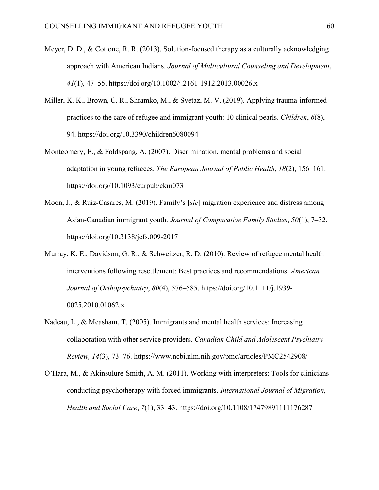- Meyer, D. D., & Cottone, R. R. (2013). Solution-focused therapy as a culturally acknowledging approach with American Indians. *Journal of Multicultural Counseling and Development*, *41*(1), 47–55. <https://doi.org/10.1002/j.2161-1912.2013.00026.x>
- Miller, K. K., Brown, C. R., Shramko, M., & Svetaz, M. V. (2019). Applying trauma-informed practices to the care of refugee and immigrant youth: 10 clinical pearls. *Children*, *6*(8), 94. <https://doi.org/10.3390/children6080094>
- Montgomery, E., & Foldspang, A. (2007). Discrimination, mental problems and social adaptation in young refugees. *The European Journal of Public Health*, *18*(2), 156–161. <https://doi.org/10.1093/eurpub/ckm073>
- Moon, J., & Ruiz-Casares, M. (2019). Family's [*sic*] migration experience and distress among Asian-Canadian immigrant youth. *Journal of Comparative Family Studies*, *50*(1), 7–32. <https://doi.org/10.3138/jcfs.009-2017>
- Murray, K. E., Davidson, G. R., & Schweitzer, R. D. (2010). Review of refugee mental health interventions following resettlement: Best practices and recommendations. *American Journal of Orthopsychiatry*, *80*(4), 576–585. [https://doi.org/10.1111/j.1939-](https://doi.org/10.1111/j.1939-0025.2010.01062.x) [0025.2010.01062.x](https://doi.org/10.1111/j.1939-0025.2010.01062.x)
- Nadeau, L., & Measham, T. (2005). Immigrants and mental health services: Increasing collaboration with other service providers. *Canadian Child and Adolescent Psychiatry Review, 14*(3), 73–76. <https://www.ncbi.nlm.nih.gov/pmc/articles/PMC2542908/>
- O'Hara, M., & Akinsulure‐Smith, A. M. (2011). Working with interpreters: Tools for clinicians conducting psychotherapy with forced immigrants. *International Journal of Migration, Health and Social Care*, *7*(1), 33–43. <https://doi.org/10.1108/17479891111176287>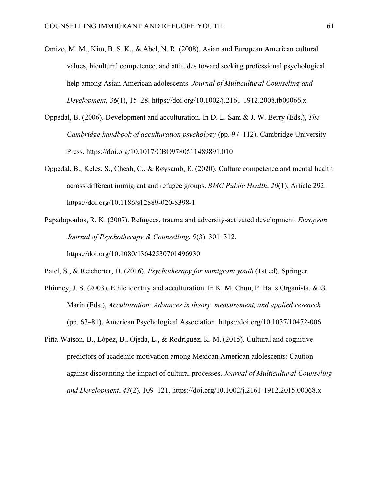- Omizo, M. M., Kim, B. S. K., & Abel, N. R. (2008). Asian and European American cultural values, bicultural competence, and attitudes toward seeking professional psychological help among Asian American adolescents. *Journal of Multicultural Counseling and Development, 36*(1), 15–28. [https://doi.org/10.1002/j.2161-1912.2008.tb00066.x](https://psycnet.apa.org/doi/10.1002/j.2161-1912.2008.tb00066.x)
- Oppedal, B. (2006). Development and acculturation. In D. L. Sam & J. W. Berry (Eds.), *The Cambridge handbook of acculturation psychology* (pp. 97–112). Cambridge University Press. [https://doi.org/10.1017/CBO9780511489891.010](https://psycnet.apa.org/doi/10.1017/CBO9780511489891.010)
- Oppedal, B., Keles, S., Cheah, C., & Røysamb, E. (2020). Culture competence and mental health across different immigrant and refugee groups. *BMC Public Health*, *20*(1), Article 292. <https://doi.org/10.1186/s12889-020-8398-1>
- Papadopoulos, R. K. (2007). Refugees, trauma and adversity-activated development. *European Journal of Psychotherapy & Counselling*, *9*(3), 301–312. <https://doi.org/10.1080/13642530701496930>
- Patel, S., & Reicherter, D. (2016). *Psychotherapy for immigrant youth* (1st ed). Springer.
- Phinney, J. S. (2003). Ethic identity and acculturation. In K. M. Chun, P. Balls Organista, & G. Marín (Eds.), *Acculturation: Advances in theory, measurement, and applied research* (pp. 63–81). American Psychological Association. <https://doi.org/10.1037/10472-006>
- Piña-Watson, B., López, B., Ojeda, L., & Rodriguez, K. M. (2015). Cultural and cognitive predictors of academic motivation among Mexican American adolescents: Caution against discounting the impact of cultural processes. *Journal of Multicultural Counseling and Development*, *43*(2), 109–121. <https://doi.org/10.1002/j.2161-1912.2015.00068.x>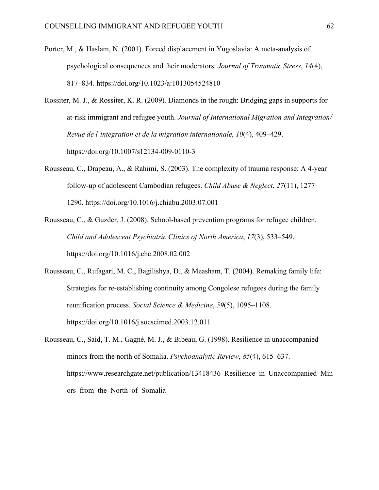- Porter, M., & Haslam, N. (2001). Forced displacement in Yugoslavia: A meta-analysis of psychological consequences and their moderators. *Journal of Traumatic Stress*, *14*(4), 817–834. <https://doi.org/10.1023/a:1013054524810>
- Rossiter, M. J., & Rossiter, K. R. (2009). Diamonds in the rough: Bridging gaps in supports for at-risk immigrant and refugee youth. *Journal of International Migration and Integration/ Revue de l'integration et de la migration internationale*, *10*(4), 409–429. <https://doi.org/10.1007/s12134-009-0110-3>
- Rousseau, C., Drapeau, A., & Rahimi, S. (2003). The complexity of trauma response: A 4-year follow-up of adolescent Cambodian refugees. *Child Abuse & Neglect*, *27*(11), 1277– 1290. <https://doi.org/10.1016/j.chiabu.2003.07.001>
- Rousseau, C., & Guzder, J. (2008). School-based prevention programs for refugee children. *Child and Adolescent Psychiatric Clinics of North America*, *17*(3), 533–549. <https://doi.org/10.1016/j.chc.2008.02.002>
- Rousseau, C., Rufagari, M. C., Bagilishya, D., & Measham, T. (2004). Remaking family life: Strategies for re-establishing continuity among Congolese refugees during the family reunification process. *Social Science & Medicine*, *59*(5), 1095–1108. <https://doi.org/10.1016/j.socscimed.2003.12.011>
- Rousseau, C., Said, T. M., Gagné, M. J., & Bibeau, G. (1998). Resilience in unaccompanied minors from the north of Somalia. *Psychoanalytic Review*, *85*(4), 615–637. https://www.researchgate.net/publication/13418436 Resilience in Unaccompanied Min ors from the North of Somalia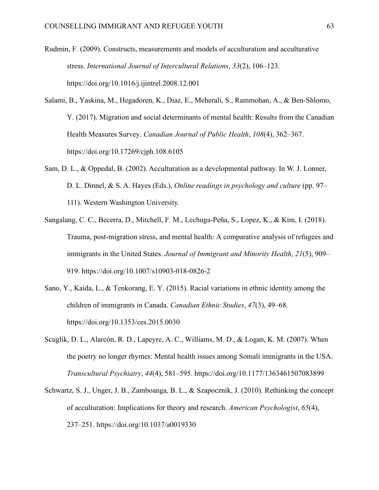- Rudmin, F. (2009). Constructs, measurements and models of acculturation and acculturative stress. *International Journal of Intercultural Relations*, *33*(2), 106–123. <https://doi.org/10.1016/j.ijintrel.2008.12.001>
- Salami, B., Yaskina, M., Hegadoren, K., Diaz, E., Meherali, S., Rammohan, A., & Ben-Shlomo, Y. (2017). Migration and social determinants of mental health: Results from the Canadian Health Measures Survey. *Canadian Journal of Public Health*, *108*(4), 362–367. <https://doi.org/10.17269/cjph.108.6105>
- Sam, D. L., & Oppedal, B. (2002). Acculturation as a developmental pathway. In W. J. Lonner, D. L. Dinnel, & S. A. Hayes (Eds.), *Online readings in psychology and culture* (pp. 97– 111). Western Washington University.
- Sangalang, C. C., Becerra, D., Mitchell, F. M., Lechuga-Peña, S., Lopez, K., & Kim, I. (2018). Trauma, post-migration stress, and mental health: A comparative analysis of refugees and immigrants in the United States. *Journal of Immigrant and Minority Health*, *21*(5), 909– 919. <https://doi.org/10.1007/s10903-018-0826-2>
- Sano, Y., Kaida, L., & Tenkorang, E. Y. (2015). Racial variations in ethnic identity among the children of immigrants in Canada. *Canadian Ethnic Studies*, *47*(3), 49–68. <https://doi.org/10.1353/ces.2015.0030>
- Scuglik, D. L., Alarcón, R. D., Lapeyre, A. C., Williams, M. D., & Logan, K. M. (2007). When the poetry no longer rhymes: Mental health issues among Somali immigrants in the USA. *Transcultural Psychiatry*, *44*(4), 581–595. <https://doi.org/10.1177/1363461507083899>
- Schwartz, S. J., Unger, J. B., Zamboanga, B. L., & Szapocznik, J. (2010). Rethinking the concept of acculturation: Implications for theory and research. *American Psychologist*, *65*(4), 237–251. <https://doi.org/10.1037/a0019330>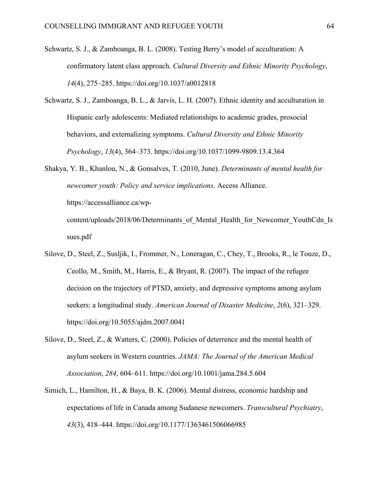- Schwartz, S. J., & Zamboanga, B. L. (2008). Testing Berry's model of acculturation: A confirmatory latent class approach. *Cultural Diversity and Ethnic Minority Psychology*, *14*(4), 275–285. <https://doi.org/10.1037/a0012818>
- Schwartz, S. J., Zamboanga, B. L., & Jarvis, L. H. (2007). Ethnic identity and acculturation in Hispanic early adolescents: Mediated relationships to academic grades, prosocial behaviors, and externalizing symptoms. *Cultural Diversity and Ethnic Minority Psychology*, *13*(4), 364–373. <https://doi.org/10.1037/1099-9809.13.4.364>
- Shakya, Y. B., Khanlou, N., & Gonsalves, T. (2010, June). *Determinants of mental health for newcomer youth: Policy and service implications*. Access Alliance. [https://accessalliance.ca/wp](https://accessalliance.ca/wp-content/uploads/2018/06/Determinants_of_Mental_Health_for_Newcomer_YouthCdn_Issues.pdf)[content/uploads/2018/06/Determinants\\_of\\_Mental\\_Health\\_for\\_Newcomer\\_YouthCdn\\_Is](https://accessalliance.ca/wp-content/uploads/2018/06/Determinants_of_Mental_Health_for_Newcomer_YouthCdn_Issues.pdf) [sues.pdf](https://accessalliance.ca/wp-content/uploads/2018/06/Determinants_of_Mental_Health_for_Newcomer_YouthCdn_Issues.pdf)
- Silove, D., Steel, Z., Susljik, I., Frommer, N., Loneragan, C., Chey, T., Brooks, R., le Touze, D., Ceollo, M., Smith, M., Harris, E., & Bryant, R. (2007). The impact of the refugee decision on the trajectory of PTSD, anxiety, and depressive symptoms among asylum seekers: a longitudinal study. *American Journal of Disaster Medicine*, *2*(6), 321–329. <https://doi.org/10.5055/ajdm.2007.0041>
- Silove, D., Steel, Z., & Watters, C. (2000). Policies of deterrence and the mental health of asylum seekers in Western countries. *JAMA: The Journal of the American Medical Association*, *284*, 604–611. <https://doi.org/10.1001/jama.284.5.604>
- Simich, L., Hamilton, H., & Baya, B. K. (2006). Mental distress, economic hardship and expectations of life in Canada among Sudanese newcomers. *Transcultural Psychiatry*, *43*(3), 418–444. <https://doi.org/10.1177/1363461506066985>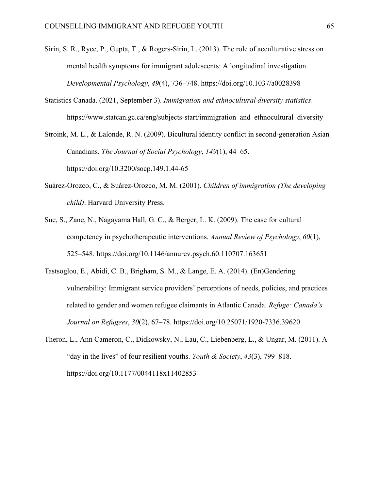- Sirin, S. R., Ryce, P., Gupta, T., & Rogers-Sirin, L. (2013). The role of acculturative stress on mental health symptoms for immigrant adolescents: A longitudinal investigation. *Developmental Psychology*, *49*(4), 736–748. <https://doi.org/10.1037/a0028398>
- Statistics Canada. (2021, September 3). *Immigration and ethnocultural diversity statistics*. https://www.statcan.gc.ca/eng/subjects-start/immigration\_and\_ethnocultural\_diversity

Stroink, M. L., & Lalonde, R. N. (2009). Bicultural identity conflict in second-generation Asian Canadians. *The Journal of Social Psychology*, *149*(1), 44–65. <https://doi.org/10.3200/socp.149.1.44-65>

- Suárez-Orozco, C., & Suárez-Orozco, M. M. (2001). *Children of immigration (The developing child)*. Harvard University Press.
- Sue, S., Zane, N., Nagayama Hall, G. C., & Berger, L. K. (2009). The case for cultural competency in psychotherapeutic interventions. *Annual Review of Psychology*, *60*(1), 525–548. <https://doi.org/10.1146/annurev.psych.60.110707.163651>
- Tastsoglou, E., Abidi, C. B., Brigham, S. M., & Lange, E. A. (2014). (En)Gendering vulnerability: Immigrant service providers' perceptions of needs, policies, and practices related to gender and women refugee claimants in Atlantic Canada. *Refuge: Canada's Journal on Refugees*, *30*(2), 67–78. <https://doi.org/10.25071/1920-7336.39620>
- Theron, L., Ann Cameron, C., Didkowsky, N., Lau, C., Liebenberg, L., & Ungar, M. (2011). A "day in the lives" of four resilient youths. *Youth & Society*, *43*(3), 799–818. <https://doi.org/10.1177/0044118x11402853>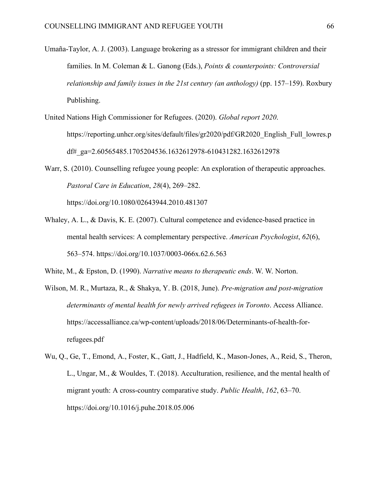- Umaña-Taylor, A. J. (2003). Language brokering as a stressor for immigrant children and their families. In M. Coleman & L. Ganong (Eds.), *Points & counterpoints: Controversial relationship and family issues in the 21st century (an anthology)* (pp. 157–159). Roxbury Publishing.
- United Nations High Commissioner for Refugees. (2020). *Global report 2020*. [https://reporting.unhcr.org/sites/default/files/gr2020/pdf/GR2020\\_English\\_Full\\_lowres.p](https://reporting.unhcr.org/sites/default/files/gr2020/pdf/GR2020_English_Full_lowres.pdf#_ga=2.60565485.1705204536.1632612978-610431282.1632612978) [df#\\_ga=2.60565485.1705204536.1632612978-610431282.1632612978](https://reporting.unhcr.org/sites/default/files/gr2020/pdf/GR2020_English_Full_lowres.pdf#_ga=2.60565485.1705204536.1632612978-610431282.1632612978)
- Warr, S. (2010). Counselling refugee young people: An exploration of therapeutic approaches. *Pastoral Care in Education*, *28*(4), 269–282.

<https://doi.org/10.1080/02643944.2010.481307>

Whaley, A. L., & Davis, K. E. (2007). Cultural competence and evidence-based practice in mental health services: A complementary perspective. *American Psychologist*, *62*(6), 563–574. <https://doi.org/10.1037/0003-066x.62.6.563>

White, M., & Epston, D. (1990). *Narrative means to therapeutic ends*. W. W. Norton.

- Wilson, M. R., Murtaza, R., & Shakya, Y. B. (2018, June). *Pre-migration and post-migration determinants of mental health for newly arrived refugees in Toronto*. Access Alliance. [https://accessalliance.ca/wp-content/uploads/2018/06/Determinants-of-health-for](https://accessalliance.ca/wp-content/uploads/2018/06/Determinants-of-health-for-refugees.pdf)[refugees.pdf](https://accessalliance.ca/wp-content/uploads/2018/06/Determinants-of-health-for-refugees.pdf)
- Wu, Q., Ge, T., Emond, A., Foster, K., Gatt, J., Hadfield, K., Mason-Jones, A., Reid, S., Theron, L., Ungar, M., & Wouldes, T. (2018). Acculturation, resilience, and the mental health of migrant youth: A cross-country comparative study. *Public Health*, *162*, 63–70. <https://doi.org/10.1016/j.puhe.2018.05.006>